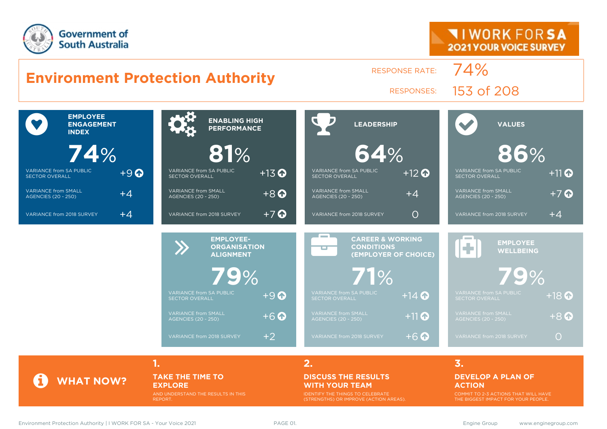



**TAKE THE TIME TO EXPLORE** AND UNDERSTAND THE RESULTS IN THIS

REPORT.

#### **DISCUSS THE RESULTS WITH YOUR TEAM** IDENTIFY THE THINGS TO CELEBRATE

(STRENGTHS) OR IMPROVE (ACTION AREAS).

#### **DEVELOP A PLAN OF ACTION**

COMMIT TO 2-3 ACTIONS THAT WILL HAVE THE BIGGEST IMPACT FOR YOUR PEOPLE.

**WHAT NOW?**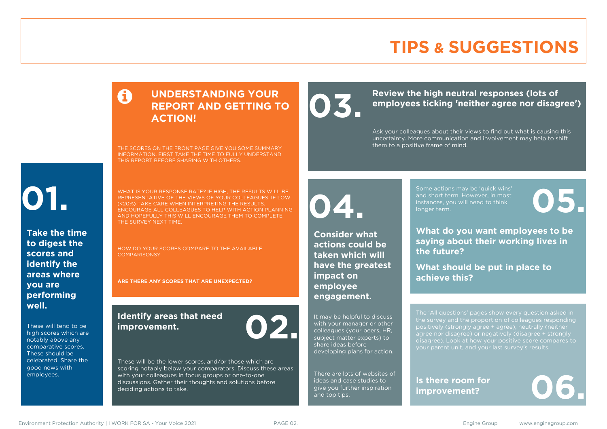# **TIPS & SUGGESTIONS**

### **UNDERSTANDING YOUR REPORT AND GETTING TO ACTION!**

THE SCORES ON THE FRONT PAGE GIVE YOU SOME SUMMARY INFORMATION. FIRST TAKE THE TIME TO FULLY UNDERSTAND THIS REPORT BEFORE SHARING WITH OTHERS.

# **01.**

**Take the time to digest the scores and identify the areas where you are performing well.**

These will tend to be high scores which are notably above any comparative scores. These should be celebrated. Share the good news with employees.

WHAT IS YOUR RESPONSE RATE? IF HIGH, THE RESULTS WILL BE REPRESENTATIVE OF THE VIEWS OF YOUR COLLEAGUES. IF LOW (<20%) TAKE CARE WHEN INTERPRETING THE RESULTS. ENCOURAGE ALL COLLEAGUES TO HELP WITH ACTION PLANNING AND HOPEFULLY THIS WILL ENCOURAGE THEM TO COMPLETE THE SURVEY NEXT TIME.

HOW DO YOUR SCORES COMPARE TO THE AVAILABLE COMPARISONS?

**ARE THERE ANY SCORES THAT ARE UNEXPECTED?**

### **Identify areas that need improvement. 02.**

These will be the lower scores, and/or those which are scoring notably below your comparators. Discuss these areas with your colleagues in focus groups or one-to-one discussions. Gather their thoughts and solutions before deciding actions to take.

Review the high neutral responses (lots of employees ticking 'neither agree nor disag **employees ticking 'neither agree nor disagree')**

> Ask your colleagues about their views to find out what is causing this uncertainty. More communication and involvement may help to shift them to a positive frame of mind.

**04.**

**Consider what actions could be taken which will have the greatest impact on employee engagement.**

It may be helpful to discuss with your manager or other colleagues (your peers, HR, subject matter experts) to share ideas before developing plans for action.

There are lots of websites of ideas and case studies to give you further inspiration and top tips.

Some actions may be 'quick wins' and short term. However, in most instances, you will need to think Some actions may be 'quick wins'<br>and short term. However, in most<br>instances, you will need to think<br>longer term.

**What do you want employees to be saying about their working lives in the future?**

**What should be put in place to achieve this?**

The 'All questions' pages show every question asked in positively (strongly agree + agree), neutrally (neither agree nor disagree) or negatively (disagree + strongly disagree). Look at how your positive score compares to your parent unit, and your last survey's results.

**Is there room for**  Is there room for<br>improvement?

Environment Protection Authority | I WORK FOR SA - Your Voice 2021 **PAGE 02.** PAGE 02. Engine Group www.enginegroup.com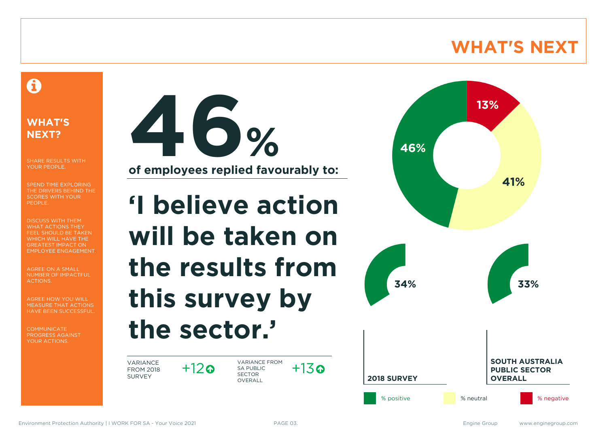# **WHAT'S NEXT**

### A

### **WHAT'S NEXT?**

SHARE RESULTS WITH YOUR PEOPLE.

SPEND TIME EXPLORING THE DRIVERS BEHIND THE SCORES WITH YOUR PEOPLE.

DISCUSS WITH THEM WHAT ACTIONS THEY FEEL SHOULD BE TAKEN WHICH WILL HAVE THE GREATEST IMPACT ON EMPLOYEE ENGAGEMENT.

AGREE ON A SMALL NUMBER OF IMPACTFUL ACTIONS.

AGREE HOW YOU WILL MEASURE THAT ACTIONS HAVE BEEN SUCCESSFUL.

**COMMUNICATE** PROGRESS AGAINST YOUR ACTIONS.



**'I believe action will be taken on the results from this survey by the sector.'**

VARIANCE FROM 2018 SURVEY

 $+12$ ര

VARIANCE FROM SA PUBLIC SECTOR **OVERALL**  $+13$ 

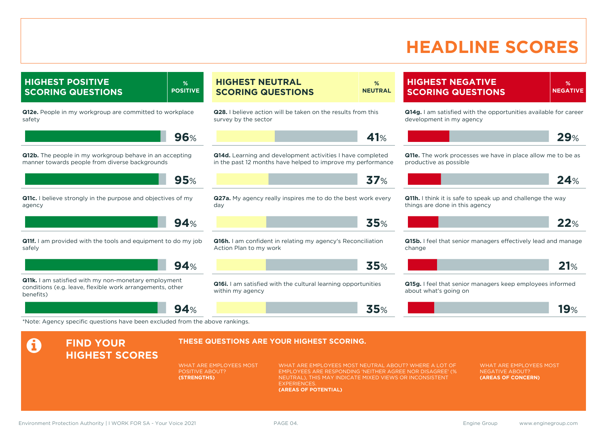# **HEADLINE SCORES**

**HIGHEST POSITIVE SCORING QUESTIONS % POSITIVE Q12e.** People in my workgroup are committed to workplace safety **96**% **Q12b.** The people in my workgroup behave in an accepting manner towards people from diverse backgrounds **95**% **Q11c.** I believe strongly in the purpose and objectives of my agency **94**% **Q11f.** I am provided with the tools and equipment to do my job safely **94**% **Q11k.** I am satisfied with my non-monetary employment conditions (e.g. leave, flexible work arrangements, other benefits)

**94**%

#### **HIGHEST NEUTRAL SCORING QUESTIONS % NEUTRAL**

**Q28.** I believe action will be taken on the results from this survey by the sector

**41**%

**Q14d.** Learning and development activities I have completed in the past 12 months have helped to improve my performance

**37**%

**Q27a.** My agency really inspires me to do the best work every day

**35**%

**Q16h.** I am confident in relating my agency's Reconciliation Action Plan to my work

**35**%

**35**%

### **Q16i.** I am satisfied with the cultural learning opportunities

within my agency

**HIGHEST NEGATIVE SCORING QUESTIONS**

**% NEGATIVE**

**Q14g.** I am satisfied with the opportunities available for career development in my agency

$$
\mathbf{L} = \mathbf{L} \mathbf{L} \mathbf{L} + \mathbf{L} \mathbf{L} \mathbf{L} \mathbf{L} + \mathbf{L} \mathbf{L} \mathbf{L} \mathbf{L} \mathbf{L} \mathbf{L} \mathbf{L} \mathbf{L} \mathbf{L} \mathbf{L} \mathbf{L} \mathbf{L} \mathbf{L} \mathbf{L} \mathbf{L} \mathbf{L} \mathbf{L} \mathbf{L} \mathbf{L} \mathbf{L} \mathbf{L} \mathbf{L} \mathbf{L} \mathbf{L} \mathbf{L} \mathbf{L} \mathbf{L} \mathbf{L} \mathbf{L} \mathbf{L} \mathbf{L} \mathbf{L} \mathbf{L} \mathbf{L} \mathbf{L} \mathbf{L} \mathbf{L} \mathbf{L} \mathbf{L} \mathbf{L} \mathbf{L} \mathbf{L} \mathbf{L} \mathbf{L} \mathbf{L} \mathbf{L} \mathbf{L} \mathbf{L} \mathbf{L} \mathbf{L} \mathbf{L} \mathbf{L} \mathbf{L} \mathbf{L} \mathbf{L} \mathbf{L} \mathbf{L} \mathbf{L} \mathbf{L} \mathbf{L} \mathbf{L} \mathbf{L} \mathbf{L} \mathbf{L} \mathbf{L} \mathbf{L} \mathbf{L} \mathbf{L} \mathbf{L} \mathbf{L} \mathbf{L} \mathbf{L} \mathbf{L} \mathbf{L} \mathbf{L} \mathbf{L} \mathbf{L} \mathbf{L} \mathbf{L} \mathbf{L} \mathbf{L} \mathbf{L} \mathbf{L} \mathbf{L} \mathbf{L} \mathbf{L} \mathbf{L} \mathbf{L} \mathbf{L} \mathbf{L} \mathbf{L} \mathbf{L} \mathbf{L} \mathbf{L} \mathbf{L} \mathbf{L} \mathbf{L} \mathbf{L} \mathbf{L} \mathbf{L} \mathbf{L} \mathbf{L} \mathbf{L} \mathbf{L} \mathbf{L} \mathbf{L} \mathbf{L} \mathbf{L} \mathbf{L} \mathbf{L} \mathbf{L} \mathbf{L} \mathbf{L} \mathbf{L} \mathbf{L} \mathbf{L} \mathbf{L} \mathbf{L} \
$$

**Q11e.** The work processes we have in place allow me to be as productive as possible

|--|--|--|

**Q11h.** I think it is safe to speak up and challenge the way things are done in this agency

**Q15b.** I feel that senior managers effectively lead and manage change



**Q15g.** I feel that senior managers keep employees informed about what's going on

|  | $\overline{\phantom{a}}$<br>$\bullet$ 70 |
|--|------------------------------------------|
|  |                                          |

\*Note: Agency specific questions have been excluded from the above rankings.

#### **A** FIND YOUR **HIGHEST SCORES THESE QUESTIONS ARE YOUR HIGHEST SCORING.** WHAT ARE EMPLOYEES MOST POSITIVE ABOUT? **(STRENGTHS)** WHAT ARE EMPLOYEES MOST NEUTRAL ABOUT? WHERE A LOT OF EMPLOYEES ARE RESPONDING 'NEITHER AGREE NOR DISAGREE' (% NEUTRAL), THIS MAY INDICATE MIXED VIEWS OR INCONSISTENT **EXPERIENCES (AREAS OF POTENTIAL)** WHAT ARE EMPLOYEES MOST NEGATIVE ABOUT? **(AREAS OF CONCERN)**

Environment Protection Authority | I WORK FOR SA - Your Voice 2021 **PAGE 04.** PAGE 04. Engine Group www.enginegroup.com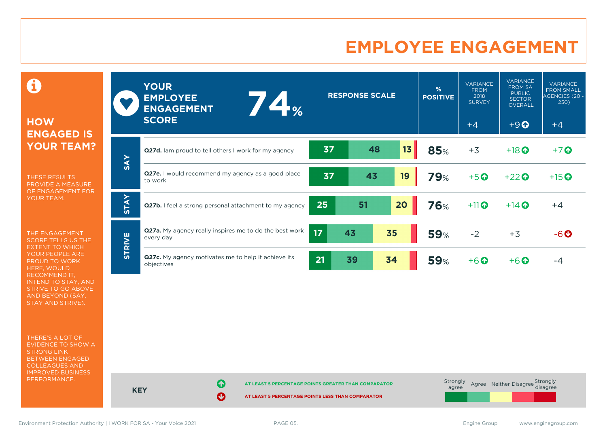# **EMPLOYEE ENGAGEMENT**

0

### **HOW ENGAGED IS YOUR TEAM?**

THESE RESULTS PROVIDE A MEASURE OF ENGAGEMENT FOR YOUR TEAM.

THE ENGAGEMENT SCORE TELLS US THE EXTENT TO WHICH YOUR PEOPLE ARE PROUD TO WORK HERE, WOULD RECOMMEND IT, INTEND TO STAY, AND STRIVE TO GO ABOVE AND BEYOND (SAY, STAY AND STRIVE).

THERE'S A LOT OF EVIDENCE TO SHOW A STRONG LINK BETWEEN ENGAGED COLLEAGUES AND IMPROVED BUSINESS PERFORMANCE.

|               | <b>YOUR</b><br><b>EMPLOYEE</b><br>74<br><b>ENGAGEMENT</b><br><b>SCORE</b>  |                 | <b>RESPONSE SCALE</b> |    | %<br><b>POSITIVE</b> | <b>VARIANCE</b><br><b>FROM</b><br>2018<br><b>SURVEY</b><br>$+4$ | <b>VARIANCE</b><br><b>FROM SA</b><br><b>PUBLIC</b><br><b>SECTOR</b><br><b>OVERALL</b><br>$+9$ <sup><math>\odot</math></sup> | <b>VARIANCE</b><br><b>FROM SMALL</b><br>AGENCIES (20 -<br>250)<br>$+4$ |
|---------------|----------------------------------------------------------------------------|-----------------|-----------------------|----|----------------------|-----------------------------------------------------------------|-----------------------------------------------------------------------------------------------------------------------------|------------------------------------------------------------------------|
| <b>SAY</b>    | Q27d. Iam proud to tell others I work for my agency                        | 37              | 48                    | 13 | 85%                  | $+3$                                                            | $+18$ <sup>O</sup>                                                                                                          | $+7$ $\odot$                                                           |
|               | <b>Q27e.</b> I would recommend my agency as a good place<br>to work        | 37              | 43                    | 19 | <b>79%</b>           | $+5o$                                                           | $+22$                                                                                                                       | $+15$ <sup>O</sup>                                                     |
| <b>STAY</b>   | Q27b. I feel a strong personal attachment to my agency                     | 25              | 51                    | 20 | 76%                  | $+11$                                                           | $+14$ <sup>O</sup>                                                                                                          | $+4$                                                                   |
| <b>STRIVE</b> | <b>Q27a.</b> My agency really inspires me to do the best work<br>every day | 17 <sup>2</sup> | 43                    | 35 | <b>59%</b>           | $-2$                                                            | $+3$                                                                                                                        | $-6o$                                                                  |
|               | <b>Q27c.</b> My agency motivates me to help it achieve its<br>objectives   | 21              | 39                    | 34 | <b>59%</b>           | $+6$ $\odot$                                                    | $+6$ $\odot$                                                                                                                | $-4$                                                                   |

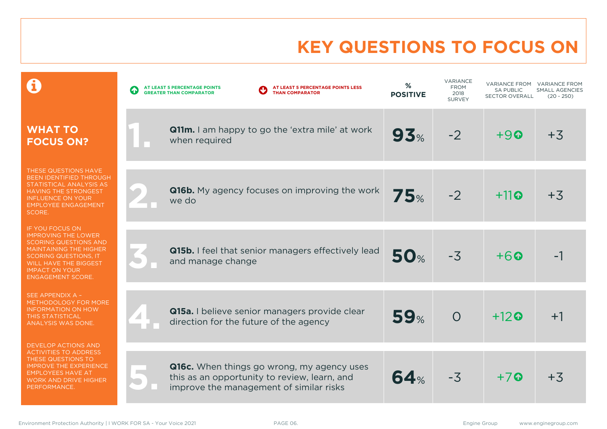# **KEY QUESTIONS TO FOCUS ON**

|                                                                                                                                                                                                                                            | AT LEAST 5 PERCENTAGE POINTS LESS<br>AT LEAST 5 PERCENTAGE POINTS<br><b>GREATER THAN COMPARATOR</b><br><b>THAN COMPARATOR</b>         | %<br><b>POSITIVE</b> | <b>VARIANCE</b><br><b>FROM</b><br>2018<br><b>SURVEY</b> | VARIANCE FROM<br><b>SA PUBLIC</b><br>SECTOR OVERALL | <b>VARIANCE FROM</b><br><b>SMALL AGENCIES</b><br>$(20 - 250)$ |
|--------------------------------------------------------------------------------------------------------------------------------------------------------------------------------------------------------------------------------------------|---------------------------------------------------------------------------------------------------------------------------------------|----------------------|---------------------------------------------------------|-----------------------------------------------------|---------------------------------------------------------------|
| <b>WHAT TO</b><br><b>FOCUS ON?</b>                                                                                                                                                                                                         | <b>Q11m.</b> I am happy to go the 'extra mile' at work<br>when required                                                               | 93%                  | $-2$                                                    | $+90$                                               | $+3$                                                          |
| THESE QUESTIONS HAVE<br>BEEN IDENTIFIED THROUGH<br>STATISTICAL ANALYSIS AS<br><b>HAVING THE STRONGEST</b><br><b>INFLUENCE ON YOUR</b><br><b>EMPLOYEE ENGAGEMENT</b><br>SCORE.                                                              | <b>Q16b.</b> My agency focuses on improving the work<br>we do                                                                         | <b>75%</b>           | $-2$                                                    | $+11$ <sup>o</sup>                                  | $+3$                                                          |
| <b>IF YOU FOCUS ON</b><br><b>IMPROVING THE LOWER</b><br><b>SCORING QUESTIONS AND</b><br><b>MAINTAINING THE HIGHER</b><br><b>SCORING QUESTIONS, IT</b><br><b>WILL HAVE THE BIGGEST</b><br><b>IMPACT ON YOUR</b><br><b>ENGAGEMENT SCORE.</b> | <b>Q15b.</b> I feel that senior managers effectively lead<br>and manage change                                                        | <b>50%</b>           | $-3$                                                    | $+6$                                                |                                                               |
| SEE APPENDIX A -<br>METHODOLOGY FOR MORE<br><b>INFORMATION ON HOW</b><br><b>THIS STATISTICAL</b><br><b>ANALYSIS WAS DONE.</b>                                                                                                              | Q15a. I believe senior managers provide clear<br>direction for the future of the agency                                               | 59%                  | $\overline{O}$                                          | $+12$ <sup><math>\odot</math></sup>                 | $+1$                                                          |
| <b>DEVELOP ACTIONS AND</b><br><b>ACTIVITIES TO ADDRESS</b><br>THESE QUESTIONS TO<br><b>IMPROVE THE EXPERIENCE</b><br><b>EMPLOYEES HAVE AT</b><br><b>WORK AND DRIVE HIGHER</b><br>PERFORMANCE.                                              | Q16c. When things go wrong, my agency uses<br>this as an opportunity to review, learn, and<br>improve the management of similar risks | 64%                  | $-3$                                                    | $+7$                                                | $+3$                                                          |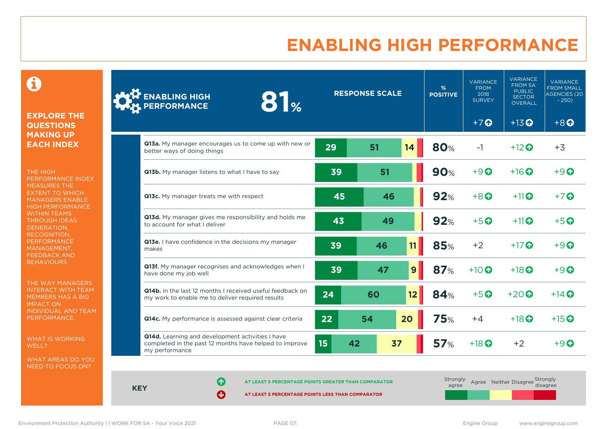# **ENABLING HIGH PERFORMANCE**

0

#### **EXPLORE THE QUESTIONS MAKING UP EACH INDEX**

THE HIGH PERFORMANCE INDEX MEASURES THE EXTENT TO WHICH MANAGERS ENABLE HIGH PERFORMANCE WITHIN TEAMS THROUGH IDEAS GENERATION, RECOGNITION, **PERFORMANCE** MANAGEMENT, FEEDBACK AND BEHAVIOURS.

THE WAY MANAGERS INTERACT WITH TEAM MEMBERS HAS A BIG IMPACT ON INDIVIDUAL AND TEAM PERFORMANCE.

WHAT IS WORKING WELL?

WHAT AREAS DO YOU NEED TO FOCUS ON?

| <b>ENABLING HIGH</b><br>81 <sub>%</sub><br>PERFORMANCE                                                                       |    | <b>RESPONSE SCALE</b> |                 | %<br><b>POSITIVE</b> | <b>VARIANCE</b><br><b>FROM</b><br>2018<br><b>SURVEY</b> | <b>VARIANCE</b><br><b>FROM SA</b><br><b>PUBLIC</b><br><b>SECTOR</b><br>OVERALL | <b>VARIANCE</b><br><b>FROM SMALL</b><br><b>AGENCIES (20)</b><br>$-250$ |
|------------------------------------------------------------------------------------------------------------------------------|----|-----------------------|-----------------|----------------------|---------------------------------------------------------|--------------------------------------------------------------------------------|------------------------------------------------------------------------|
|                                                                                                                              |    |                       |                 |                      | $+7$ $\Omega$                                           | $+13$ <sup>O</sup>                                                             | $+8$ <sup><math>\odot</math></sup>                                     |
| <b>Q13a.</b> My manager encourages us to come up with new or<br>better ways of doing things                                  | 29 | 51                    | 14              | <b>80%</b>           | $-1$                                                    | $+12$ <sup><math>\odot</math></sup>                                            | $+3$                                                                   |
| Q13b. My manager listens to what I have to say                                                                               | 39 | 51                    |                 | <b>90%</b>           | $+9$ $\odot$                                            | $+16$ $\odot$                                                                  | $+9$ $\odot$                                                           |
| Q13c. My manager treats me with respect                                                                                      | 45 | 46                    |                 | 92%                  | $+8$ $\odot$                                            | $+11$                                                                          | $+7$ $\odot$                                                           |
| Q13d. My manager gives me responsibility and holds me<br>to account for what I deliver                                       | 43 | 49                    |                 | 92%                  | $+5$ $\odot$                                            | $+11$                                                                          | $+5$ $\odot$                                                           |
| Q13e. I have confidence in the decisions my manager<br>makes                                                                 | 39 | 46                    | 11              | 85%                  | $+2$                                                    | $+17$ $\odot$                                                                  | $+9$                                                                   |
| Q13f. My manager recognises and acknowledges when I<br>have done my job well                                                 | 39 | 47                    | $\mathbf{9}$    | 87%                  | $+10$ $\odot$                                           | $+18$ <sup>O</sup>                                                             | $+9$ $\Omega$                                                          |
| <b>Q14b.</b> In the last 12 months I received useful feedback on<br>my work to enable me to deliver required results         | 24 | 60                    | 12 <sub>2</sub> | <b>84%</b>           | $+5$ $\odot$                                            | $+20$ $\odot$                                                                  | $+14$ $\odot$                                                          |
| Q14c. My performance is assessed against clear criteria                                                                      | 22 | 54                    | 20              | <b>75%</b>           | $+4$                                                    | $+18$ $\odot$                                                                  | $+15$ <sup><math>\odot</math></sup>                                    |
| Q14d. Learning and development activities I have<br>completed in the past 12 months have helped to improve<br>my performance | 15 | 42                    | 37              | 57 <sub>%</sub>      | $+18$ <sup>O</sup>                                      | $+2$                                                                           | $+9$ $\odot$                                                           |

**KEY**

**AT LEAST 5 PERCENTAGE POINTS GREATER THAN COMPARATOR** 

| Strongly<br>agree | Agree Neither Disagree Strongly |  |
|-------------------|---------------------------------|--|
|                   |                                 |  |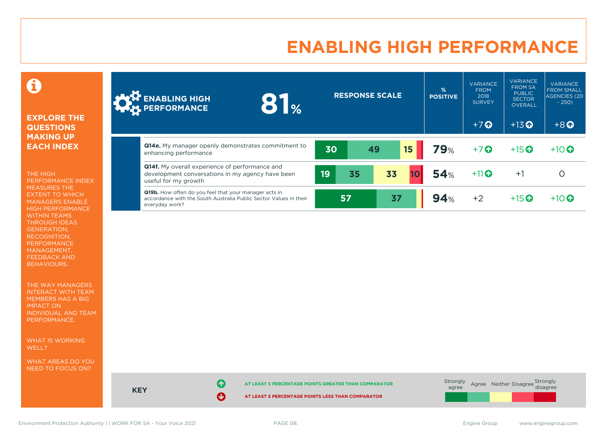# **ENABLING HIGH PERFORMANCE**

### 0

#### **EXPLORE THE QUESTIONS MAKING UP EACH INDEX**

THE HIGH PERFORMANCE INDEX MEASURES THE EXTENT TO WHICH MANAGERS ENABLE HIGH PERFORMANCE WITHIN TEAMS THROUGH IDEAS GENERATION, RECOGNITION, PERFORMANCE MANAGEMENT, FEEDBACK AND BEHAVIOURS.

THE WAY MANAGERS INTERACT WITH TEAM MEMBERS HAS A BIG IMPACT ON INDIVIDUAL AND TEAM PERFORMANCE.

WHAT IS WORKING WELL?

WHAT AREAS DO YOU NEED TO FOCUS ON?

| <b>ANTENABLING HIGH</b><br>$\frac{1}{2}$<br>8                                                                                                       |    | <b>RESPONSE SCALE</b> |    | %<br><b>POSITIVE</b> | <b>VARIANCE</b><br><b>FROM</b><br>2018<br><b>SURVEY</b> | <b>VARIANCE</b><br><b>FROM SA</b><br><b>PUBLIC</b><br><b>SECTOR</b><br>OVERALL | <b>VARIANCE</b><br><b>FROM SMALL</b><br><b>AGENCIES (20)</b><br>$-250$ |
|-----------------------------------------------------------------------------------------------------------------------------------------------------|----|-----------------------|----|----------------------|---------------------------------------------------------|--------------------------------------------------------------------------------|------------------------------------------------------------------------|
|                                                                                                                                                     |    |                       |    |                      | $+7$ $\Omega$                                           | $+13$ <sup>O</sup>                                                             | $+8$ <sup><math>\odot</math></sup>                                     |
| <b>Q14e.</b> My manager openly demonstrates commitment to<br>enhancing performance                                                                  | 30 | 49                    | 15 | <b>79%</b>           | $+7$ <sup>O</sup>                                       | $+15$ <sup>O</sup>                                                             | $+10$ <sup>O</sup>                                                     |
| <b>Q14f.</b> My overall experience of performance and<br>development conversations in my agency have been<br>useful for my growth                   | 19 | 35                    | 33 | 54%                  | $+11$                                                   | $+1$                                                                           | O                                                                      |
| <b>Q19b.</b> How often do you feel that your manager acts in<br>accordance with the South Australia Public Sector Values in their<br>everyday work? |    | 57                    | 37 | 94%                  | $+2$                                                    | $+15$ <sup>O</sup>                                                             | $+10$ <sup>O</sup>                                                     |



**KEY**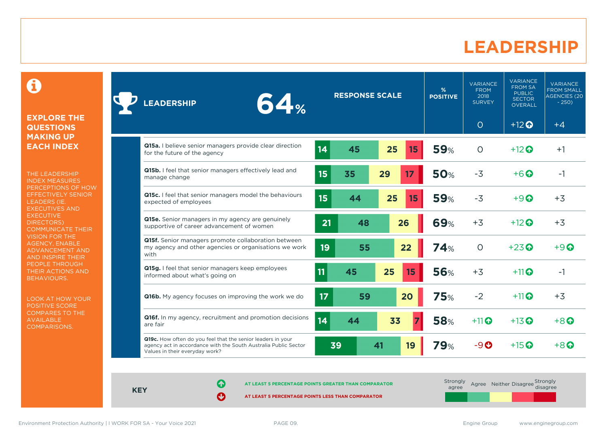### **LEADERSHIP**

0

#### **EXPLORE THE QUESTIONS MAKING UP EACH INDEX**

THE LEADERSHIP INDEX MEASURES PERCEPTIONS OF HOW EFFECTIVELY SENIOR LEADERS (IE. EXECUTIVES AND **EXECUTIVE** DIRECTORS) COMMUNICATE THEIR VISION FOR THE AGENCY, ENABLE ADVANCEMENT AND AND INSPIRE THEIR PEOPLE THROUGH THEIR ACTIONS AND BEHAVIOURS.

LOOK AT HOW YOUR POSITIVE SCORE COMPARES TO THE AVAILABLE COMPARISONS.

| 64%<br><b>LEADERSHIP</b>                                                                                                                                         |                  | <b>RESPONSE SCALE</b> |    |    | %<br><b>POSITIVE</b> | VARIANCE<br><b>FROM</b><br>2018<br><b>SURVEY</b> | <b>VARIANCE</b><br><b>FROM SA</b><br><b>PUBLIC</b><br><b>SECTOR</b><br><b>OVERALL</b> | <b>VARIANCE</b><br><b>FROM SMALL</b><br><b>AGENCIES (20)</b><br>$-250$ |
|------------------------------------------------------------------------------------------------------------------------------------------------------------------|------------------|-----------------------|----|----|----------------------|--------------------------------------------------|---------------------------------------------------------------------------------------|------------------------------------------------------------------------|
|                                                                                                                                                                  |                  |                       |    |    |                      | $\circ$                                          | $+12$ <sup>O</sup>                                                                    | $+4$                                                                   |
| Q15a. I believe senior managers provide clear direction<br>for the future of the agency                                                                          | 14               | 45                    | 25 | 15 | <b>59%</b>           | $\circ$                                          | $+12$ $\odot$                                                                         | $+1$                                                                   |
| Q15b. I feel that senior managers effectively lead and<br>manage change                                                                                          | 15               | 35                    | 29 | 17 | <b>50%</b>           | $-3$                                             | $+6\Omega$                                                                            | $-1$                                                                   |
| Q15c. I feel that senior managers model the behaviours<br>expected of employees                                                                                  | 15 <sub>15</sub> | 44                    | 25 | 15 | <b>59%</b>           | $-3$                                             | $+9$ $\odot$                                                                          | $+3$                                                                   |
| Q15e. Senior managers in my agency are genuinely<br>supportive of career advancement of women                                                                    | 21               | 48                    |    | 26 | <b>69%</b>           | $+3$                                             | $+12$ $\odot$                                                                         | $+3$                                                                   |
| Q15f. Senior managers promote collaboration between<br>my agency and other agencies or organisations we work<br>with                                             | 19               | 55                    |    | 22 | <b>74%</b>           | $\overline{O}$                                   | $+23$ <sup><math>\odot</math></sup>                                                   | $+9$ $\odot$                                                           |
| Q15g. I feel that senior managers keep employees<br>informed about what's going on                                                                               | 11               | 45                    | 25 | 15 | <b>56%</b>           | $+3$                                             | $+11$                                                                                 | $-1$                                                                   |
| <b>Q16b.</b> My agency focuses on improving the work we do                                                                                                       | 17               | 59                    |    | 20 | <b>75%</b>           | $-2$                                             | $+11$                                                                                 | $+3$                                                                   |
| Q16f. In my agency, recruitment and promotion decisions<br>are fair                                                                                              | 14               | 44                    | 33 |    | <b>58%</b>           | $+11$                                            | $+13$ $\odot$                                                                         | $+8$ <sup>O</sup>                                                      |
| Q19c. How often do you feel that the senior leaders in your<br>agency act in accordance with the South Australia Public Sector<br>Values in their everyday work? | 39               |                       | 41 | 19 | <b>79</b> %          | $-9$ $o$                                         | $+15$ $\odot$                                                                         | $+8$ $\Omega$                                                          |

**KEY**

**AT LEAST 5 PERCENTAGE POINTS GREATER THAN COMPARATOR**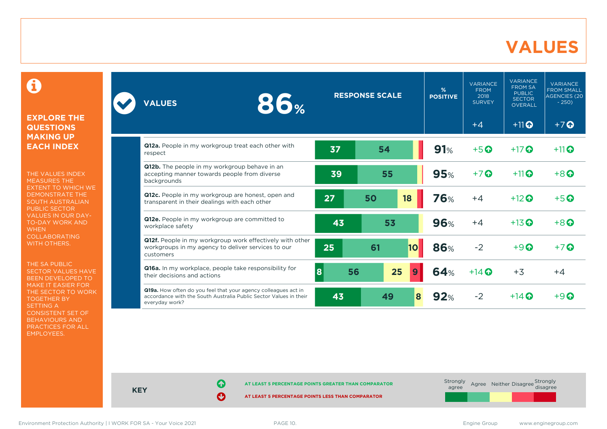### **VALUES**

0

#### **EXPLORE THE QUESTIONS MAKING UP EACH INDEX**

THE VALUES INDEX MEASURES THE EXTENT TO WHICH WE DEMONSTRATE THE SOUTH AUSTRALIAN PUBLIC SECTOR VALUES IN OUR DAY-TO-DAY WORK AND **WHEN** COLLABORATING WITH OTHERS.

THE SA PUBLIC SECTOR VALUES HAVE BEEN DEVELOPED TO MAKE IT EASIER FOR THE SECTOR TO WORK TOGETHER BY SETTING A CONSISTENT SET OF BEHAVIOURS AND PRACTICES FOR ALL EMPLOYEES.

| <b>86%</b><br><b>VALUES</b>                                                                                                                           |         | <b>RESPONSE SCALE</b> | %<br><b>POSITIVE</b>   | <b>VARIANCE</b><br><b>FROM</b><br>2018<br><b>SURVEY</b> | <b>VARIANCE</b><br><b>FROM SA</b><br><b>PUBLIC</b><br><b>SECTOR</b><br><b>OVERALL</b> | <b>VARIANCE</b><br><b>FROM SMALL</b><br><b>AGENCIES (20)</b><br>$-250$ |
|-------------------------------------------------------------------------------------------------------------------------------------------------------|---------|-----------------------|------------------------|---------------------------------------------------------|---------------------------------------------------------------------------------------|------------------------------------------------------------------------|
|                                                                                                                                                       |         |                       |                        | $+4$                                                    | $+11$ <sup>O</sup>                                                                    | $+7$ $\odot$                                                           |
| Q12a. People in my workgroup treat each other with<br>respect                                                                                         | 37      | 54                    | 91%                    | $+5$ <sup>O</sup>                                       | $+17$ $\odot$                                                                         | $+11$ <sup>O</sup>                                                     |
| Q12b. The people in my workgroup behave in an<br>accepting manner towards people from diverse<br>backgrounds                                          | 39      | 55                    | 95%                    | $+7$ $\odot$                                            | $+11$ <sup>O</sup>                                                                    | $+8$ <sup><math>\odot</math></sup>                                     |
| Q12c. People in my workgroup are honest, open and<br>transparent in their dealings with each other                                                    | 27      | 18<br>50              | <b>76%</b>             | $+4$                                                    | $+12$ $\odot$                                                                         | $+5$ $\odot$                                                           |
| Q12e. People in my workgroup are committed to<br>workplace safety                                                                                     | 43      | 53                    | 96%                    | $+4$                                                    | $+13$ <sup>O</sup>                                                                    | $+8$ <sup><math>\odot</math></sup>                                     |
| Q12f. People in my workgroup work effectively with other<br>workgroups in my agency to deliver services to our<br>customers                           | 25      | 61                    | 86%<br>10 <sub>l</sub> | $-2$                                                    | $+9$ <sup><math>\odot</math></sup>                                                    | $+7$ $\odot$                                                           |
| Q16a. In my workplace, people take responsibility for<br>their decisions and actions                                                                  | 8<br>56 | 25                    | 64%<br>9               | $+14$ $\odot$                                           | $+3$                                                                                  | $+4$                                                                   |
| Q19a. How often do you feel that your agency colleagues act in<br>accordance with the South Australia Public Sector Values in their<br>everyday work? | 43      | 49                    | $\bf{8}$<br>92%        | $-2$                                                    | $+14$ $\odot$                                                                         | $+9$ $\Omega$                                                          |



**KEY**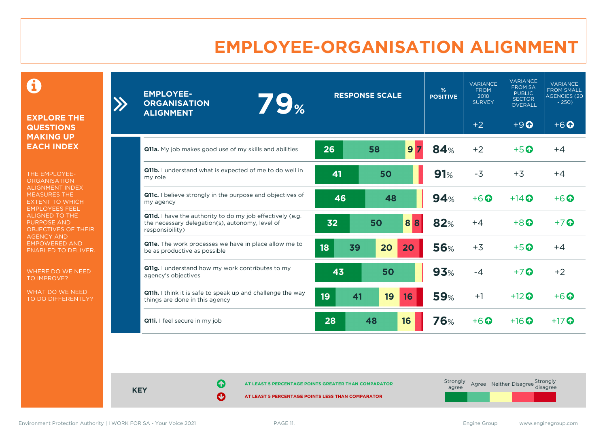# **EMPLOYEE-ORGANISATION ALIGNMENT**

0

**EXPLORE THE QUESTIONS MAKING UP EACH INDEX**

 $\sum_{i=1}^{n}$ 

THE EMPLOYEE-**ORGANISATION** ALIGNMENT INDEX MEASURES THE EXTENT TO WHICH EMPLOYEES FEEL ALIGNED TO THE PURPOSE AND OBJECTIVES OF THEIR AGENCY AND EMPOWERED AND ENABLED TO DELIVER.

WHERE DO WE NEED TO IMPROVE?

WHAT DO WE NEED TO DO DIFFERENTLY?

| <b>EMPLOYEE-</b><br><b>79%</b><br><b>ORGANISATION</b><br><b>ALIGNMENT</b>                                                       |          | <b>RESPONSE SCALE</b> | %<br><b>POSITIVE</b> | <b>VARIANCE</b><br><b>FROM</b><br>2018<br><b>SURVEY</b> | <b>VARIANCE</b><br><b>FROM SA</b><br><b>PUBLIC</b><br><b>SECTOR</b><br><b>OVERALL</b> | <b>VARIANCE</b><br><b>FROM SMALL</b><br>AGENCIES <sup>(20</sup><br>$-250$ |
|---------------------------------------------------------------------------------------------------------------------------------|----------|-----------------------|----------------------|---------------------------------------------------------|---------------------------------------------------------------------------------------|---------------------------------------------------------------------------|
|                                                                                                                                 |          |                       |                      | $+2$                                                    | $+9$ <sup><math>\odot</math></sup>                                                    | $+6$ <sup><math>\odot</math></sup>                                        |
| Q11a. My job makes good use of my skills and abilities                                                                          | 26       | 58<br>9 <sub>7</sub>  | 84%                  | $+2$                                                    | $+5$ <sup><math>\odot</math></sup>                                                    | $+4$                                                                      |
| Q11b. I understand what is expected of me to do well in<br>my role                                                              | 41       | 50                    | 91%                  | $-3$                                                    | $+3$                                                                                  | $+4$                                                                      |
| <b>Q11c.</b> I believe strongly in the purpose and objectives of<br>my agency                                                   | 46       | 48                    | 94%                  | $+6$ <sup><math>\odot</math></sup>                      | $+14$ $\Omega$                                                                        | $+6\Omega$                                                                |
| Q11d. I have the authority to do my job effectively (e.g.<br>the necessary delegation(s), autonomy, level of<br>responsibility) | 32       | 50<br>8<br>8          | 82%                  | $+4$                                                    | $+8$ $\Omega$                                                                         | $+7$ $\odot$                                                              |
| Q11e. The work processes we have in place allow me to<br>be as productive as possible                                           | 18<br>39 | 20<br>20              | <b>56%</b>           | $+3$                                                    | $+5$ $\odot$                                                                          | $+4$                                                                      |
| Q11g. I understand how my work contributes to my<br>agency's objectives                                                         | 43       | 50                    | 93%                  | $-4$                                                    | $+7$ $\odot$                                                                          | $+2$                                                                      |
| Q11h. I think it is safe to speak up and challenge the way<br>things are done in this agency                                    | 19<br>41 | 19<br>16              | <b>59%</b>           | $+1$                                                    | $+12$ <sup>O</sup>                                                                    | $+6$ $\odot$                                                              |
| <b>Q11i.</b> I feel secure in my job                                                                                            | 28       | 48<br>16              | <b>76%</b>           | $+6$ <sup><math>\odot</math></sup>                      | $+16$ $\odot$                                                                         | $+17$ $\odot$                                                             |

**KEY**

**AT LEAST 5 PERCENTAGE POINTS GREATER THAN COMPARATOR** 

| Strongly<br>agree |  | Agree Neither Disagree Strongly<br>disagree |  |
|-------------------|--|---------------------------------------------|--|
|                   |  |                                             |  |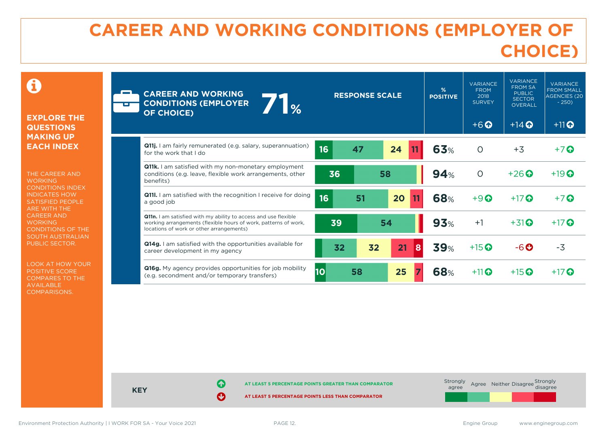# **CAREER AND WORKING CONDITIONS (EMPLOYER OF CHOICE)**

 $\mathbf \Omega$ 

#### **EXPLORE THE QUESTIONS MAKING UP EACH INDEX**

THE CAREER AND **WORKING** CONDITIONS INDEX INDICATES HOW SATISFIED PEOPLE ARE WITH THE CAREER AND **WORKING** CONDITIONS OF THE SOUTH AUSTRALIAN PUBLIC SECTOR.

LOOK AT HOW YOUR POSITIVE SCORE COMPARES TO THE AVAILABLE COMPARISONS.

| <b>CO</b> | <b>CAREER AND WORKING</b><br><b>1%</b><br><b>CONDITIONS (EMPLOYER</b><br><b>OF CHOICE)</b>                                                                                     |    | <b>RESPONSE SCALE</b> |         | %<br><b>POSITIVE</b> | <b>VARIANCE</b><br><b>FROM</b><br>2018<br><b>SURVEY</b><br>$+6$ <sup><math>\odot</math></sup> | <b>VARIANCE</b><br><b>FROM SA</b><br><b>PUBLIC</b><br><b>SECTOR</b><br><b>OVERALL</b><br>$+14$ $\odot$ | <b>VARIANCE</b><br><b>FROM SMALL</b><br><b>AGENCIES (20</b><br>$-250$<br>$+11$ <sup>O</sup> |
|-----------|--------------------------------------------------------------------------------------------------------------------------------------------------------------------------------|----|-----------------------|---------|----------------------|-----------------------------------------------------------------------------------------------|--------------------------------------------------------------------------------------------------------|---------------------------------------------------------------------------------------------|
|           | <b>Q11j.</b> I am fairly remunerated (e.g. salary, superannuation)<br>for the work that I do                                                                                   | 16 | 47                    | 24      | 63%                  | $\circ$                                                                                       | $+3$                                                                                                   | $+7$ $\odot$                                                                                |
|           | <b>Q11k.</b> I am satisfied with my non-monetary employment<br>conditions (e.g. leave, flexible work arrangements, other<br>benefits)                                          | 36 |                       | 58      | 94%                  | $\circ$                                                                                       | $+26$                                                                                                  | $+19$ $\odot$                                                                               |
|           | <b>Q11.</b> I am satisfied with the recognition I receive for doing<br>a good job                                                                                              | 16 | 51                    | 20      | <b>68%</b>           | $+9$ $\odot$                                                                                  | $+17$ $\odot$                                                                                          | $+7$ $\odot$                                                                                |
|           | Q11n. I am satisfied with my ability to access and use flexible<br>working arrangements (flexible hours of work, patterns of work,<br>locations of work or other arrangements) | 39 |                       | 54      | 93%                  | $+1$                                                                                          | $+31$ <sup><math>\odot</math></sup>                                                                    | $+17$ $\odot$                                                                               |
|           | <b>Q14g.</b> I am satisfied with the opportunities available for<br>career development in my agency                                                                            | 32 | 32                    | 21<br>8 | <b>39%</b>           | $+15$ <sup>O</sup>                                                                            | $-6$ $\odot$                                                                                           | $-3$                                                                                        |
|           | <b>Q16g.</b> My agency provides opportunities for job mobility<br>(e.g. secondment and/or temporary transfers)                                                                 | 10 | 58                    | 25      | <b>68%</b>           | $+11$                                                                                         | $+15$ $\odot$                                                                                          | $+17$ $\odot$                                                                               |

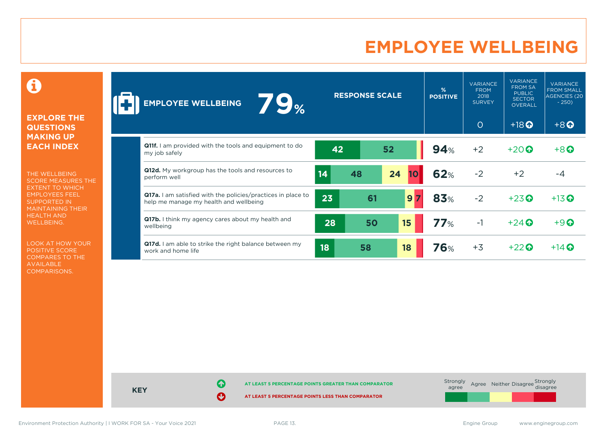# **EMPLOYEE WELLBEING**

0

#### **EXPLORE THE QUESTIONS MAKING UP EACH INDEX**

THE WELLBEING SCORE MEASURES THE EXTENT TO WHICH EMPLOYEES FEEL SUPPORTED IN MAINTAINING THEIR HEALTH AND WELLBEING.

LOOK AT HOW YOUR POSITIVE SCORE COMPARES TO THE AVAILABLE COMPARISONS.

| 79%<br><b>EMPLOYEE WELLBEING</b>                                                                              |    | <b>RESPONSE SCALE</b> |          | $\frac{9}{6}$<br><b>POSITIVE</b> | <b>VARIANCE</b><br><b>FROM</b><br>2018<br><b>SURVEY</b> | <b>VARIANCE</b><br><b>FROM SA</b><br><b>PUBLIC</b><br><b>SECTOR</b><br><b>OVERALL</b> | <b>VARIANCE</b><br><b>FROM SMALL</b><br><b>AGENCIES (20</b><br>$-250$ |
|---------------------------------------------------------------------------------------------------------------|----|-----------------------|----------|----------------------------------|---------------------------------------------------------|---------------------------------------------------------------------------------------|-----------------------------------------------------------------------|
|                                                                                                               |    |                       |          |                                  | $\circ$                                                 | $+18$ <sup>O</sup>                                                                    | $+8$ <sup><math>\odot</math></sup>                                    |
| <b>Q11f.</b> I am provided with the tools and equipment to do<br>my job safely                                | 42 |                       | 52       | 94%                              | $+2$                                                    | $+20$ $\odot$                                                                         | $+8$ <sup><math>\odot</math></sup>                                    |
| Q12d. My workgroup has the tools and resources to<br>perform well                                             | 14 | 48                    | 24<br>10 | 62%                              | $-2$                                                    | $+2$                                                                                  | $-4$                                                                  |
| <b>Q17a.</b> I am satisfied with the policies/practices in place to<br>help me manage my health and wellbeing | 23 | 61                    | 9        | 83%                              | $-2$                                                    | $+23$ <sup>O</sup>                                                                    | $+13$ <sup>O</sup>                                                    |
| Q17b. I think my agency cares about my health and<br>wellbeing                                                | 28 | 50                    | 15       | 77%                              | $-1$                                                    | $+24$ $\odot$                                                                         | $+9$ <sup><math>\odot</math></sup>                                    |
| Q17d. I am able to strike the right balance between my<br>work and home life                                  | 18 | 58                    | 18       | <b>76%</b>                       | $+3$                                                    | $+22$ $\odot$                                                                         | $+14$ $\odot$                                                         |

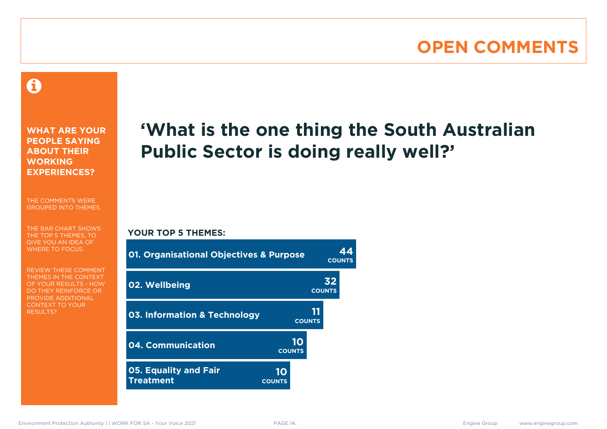# **OPEN COMMENTS**

### 0

**WHAT ARE YOUR PEOPLE SAYING ABOUT THEIR WORKING EXPERIENCES?**

THE COMMENTS WERE GROUPED INTO THEMES.

THE BAR CHART SHOWS THE TOP 5 THEMES, TO GIVE YOU AN IDEA OF WHERE TO FOCUS.

REVIEW THESE COMMENT THEMES IN THE CONTEXT OF YOUR RESULTS - HOW DO THEY REINFORCE OR PROVIDE ADDITIONAL CONTEXT TO YOUR **RESULTS?** 

# **'What is the one thing the South Australian Public Sector is doing really well?'**

**COUNTS**

#### **YOUR TOP 5 THEMES:**

| <b>01. Organisational Objectives &amp; Purpose</b> |                     | <b>COUNTS</b> |    |  |
|----------------------------------------------------|---------------------|---------------|----|--|
| 02. Wellbeing                                      |                     | <b>COUNTS</b> | 32 |  |
| <b>03. Information &amp; Technology</b>            |                     | <b>COUNTS</b> |    |  |
| 04. Communication                                  | 10<br><b>COUNTS</b> |               |    |  |
| <b>05. Equality and Fair</b><br><b>Treatment</b>   | 10<br><b>COUNTS</b> |               |    |  |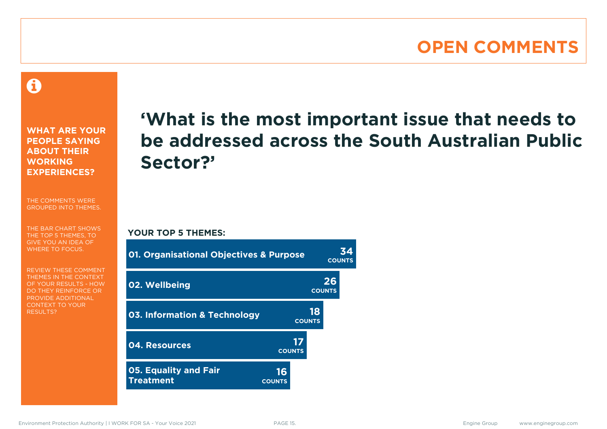### **OPEN COMMENTS**

Â

**WHAT ARE YOUR PEOPLE SAYING ABOUT THEIR WORKING EXPERIENCES?**

THE COMMENTS WERE GROUPED INTO THEMES.

THE BAR CHART SHOWS THE TOP 5 THEMES, TO GIVE YOU AN IDEA OF WHERE TO FOCUS.

REVIEW THESE COMMENT THEMES IN THE CONTEXT OF YOUR RESULTS - HOW DO THEY REINFORCE OR PROVIDE ADDITIONAL CONTEXT TO YOUR **RESULTS?** 

# **'What is the most important issue that needs to be addressed across the South Australian Public Sector?'**

**YOUR TOP 5 THEMES:**

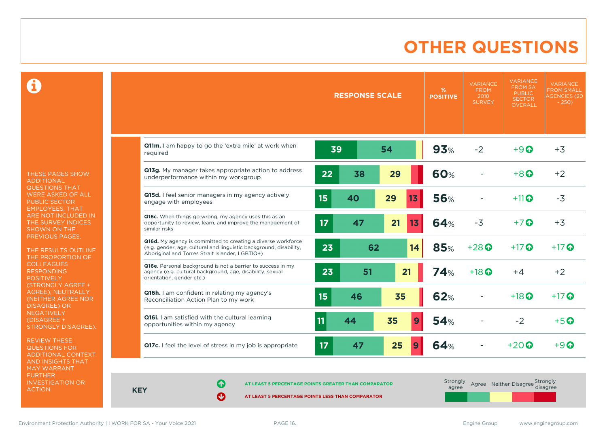# **OTHER QUESTIONS**

0

THESE PAGES SHOW ADDITIONAL QUESTIONS THAT WERE ASKED OF ALL PUBLIC SECTOR EMPLOYEES, THAT ARE NOT INCLUDED IN THE SURVEY INDICES SHOWN ON THE PREVIOUS PAGES.

THE RESULTS OUTLINE THE PROPORTION OF COLLEAGUES RESPONDING POSITIVELY (STRONGLY AGREE + AGREE), NEUTRALLY (NEITHER AGREE NOR DISAGREE) OR **NEGATIVELY** (DISAGREE + STRONGLY DISAGREE).

REVIEW THESE QUESTIONS FOR ADDITIONAL CONTEXT AND INSIGHTS THAT MAY WARRANT FURTHER INVESTIGATION OR ACTION.

|                                                                                                                                                                                       | <b>RESPONSE SCALE</b> |    |    | %<br><b>POSITIVE</b> | <b>VARIANCE</b><br><b>FROM</b><br>2018<br><b>SURVEY</b> | <b>VARIANCE</b><br><b>FROM SA</b><br><b>PUBLIC</b><br><b>SECTOR</b><br><b>OVERALL</b> | <b>VARIANCE</b><br><b>FROM SMALL</b><br><b>AGENCIES</b> (20)<br>$-250$ |                   |
|---------------------------------------------------------------------------------------------------------------------------------------------------------------------------------------|-----------------------|----|----|----------------------|---------------------------------------------------------|---------------------------------------------------------------------------------------|------------------------------------------------------------------------|-------------------|
| Q11m. I am happy to go the 'extra mile' at work when<br>required                                                                                                                      | 39                    |    | 54 |                      | 93%                                                     | $-2$                                                                                  | $+9$ $\odot$                                                           | $+3$              |
| Q13g. My manager takes appropriate action to address<br>underperformance within my workgroup                                                                                          | 22                    | 38 | 29 |                      | 60%                                                     |                                                                                       | $+8$ $\odot$                                                           | $+2$              |
| Q15d. I feel senior managers in my agency actively<br>engage with employees                                                                                                           | 15                    | 40 | 29 | 13                   | <b>56%</b>                                              |                                                                                       | $+11$ $\odot$                                                          | $-3$              |
| <b>Q16c.</b> When things go wrong, my agency uses this as an<br>opportunity to review, learn, and improve the management of<br>similar risks                                          | 17                    | 47 | 21 | 13                   | 64%                                                     | $-3$                                                                                  | $+7$ $\odot$                                                           | $+3$              |
| Q16d. My agency is committed to creating a diverse workforce<br>(e.g. gender, age, cultural and linguistic background, disability,<br>Aboriginal and Torres Strait Islander, LGBTIQ+) | 23                    | 62 |    | 14                   | <b>85%</b>                                              | $+28$ $\odot$                                                                         | $+17$ $\odot$                                                          | $+17$ $\odot$     |
| Q16e. Personal background is not a barrier to success in my<br>agency (e.g. cultural background, age, disability, sexual<br>orientation, gender etc.)                                 | 23                    | 51 |    | 21                   | 74%                                                     | $+18$ $\odot$                                                                         | $+4$                                                                   | $+2$              |
| Q16h. I am confident in relating my agency's<br>Reconciliation Action Plan to my work                                                                                                 | 15                    | 46 | 35 |                      | <b>62%</b>                                              |                                                                                       | $+18$ $\odot$                                                          | $+17$ $\odot$     |
| Q16i. I am satisfied with the cultural learning<br>opportunities within my agency                                                                                                     | 11                    | 44 | 35 | 9                    | 54%                                                     |                                                                                       | $-2$                                                                   | $+5$ <sup>O</sup> |
| Q17c. I feel the level of stress in my job is appropriate                                                                                                                             | 17                    | 47 | 25 | $\boldsymbol{9}$     | 64%                                                     |                                                                                       | $+20$ $\odot$                                                          | $+9$ $\Omega$     |

**KEY**

**AT LEAST 5 PERCENTAGE POINTS GREATER THAN COMPARATOR** 

**AT LEAST 5 PERCENTAGE POINTS LESS THAN COMPARATOR** 

| Strongly<br>agree | Agree Neither Disagree Strongly<br>disagree |  |
|-------------------|---------------------------------------------|--|
|                   |                                             |  |

Environment Protection Authority | I WORK FOR SA - Your Voice 2021 **PAGE 16.** PAGE 16. Engine Group www.enginegroup.com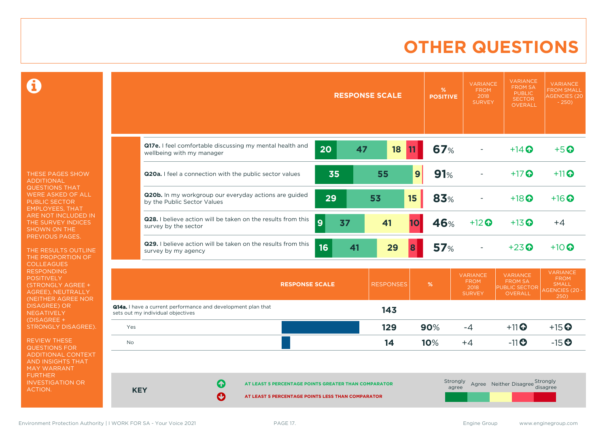# **OTHER QUESTIONS**

 $\mathbf \Omega$ 

THESE PAGES SHOW ADDITIONAL QUESTIONS THAT WERE ASKED OF ALL PUBLIC SECTOR EMPLOYEES, THAT ARE NOT INCLUDED IN THE SURVEY INDICES SHOWN ON THE PREVIOUS PAGES.

THE RESULTS OUTLINE THE PROPORTION OF COLLEAGUES RESPONDING **POSITIVELY** (STRONGLY AGREE + AGREE), NEUTRALLY (NEITHER AGREE NOR DISAGREE) OR NEGATIVELY (DISAGREE + STRONGLY DISAGREE).

REVIEW THESE QUESTIONS FOR ADDITIONAL CONTEXT AND INSIGHTS THAT MAY WARRANT FURTHER INVESTIGATION OR ACTION.

|            | <b>RESPONSE SCALE</b>                                                                                               | %<br><b>POSITIVE</b> | <b>VARIANCE</b><br><b>FROM</b><br>2018<br><b>SURVEY</b> | <b>VARIANCE</b><br><b>FROM SA</b><br><b>PUBLIC</b><br><b>SECTOR</b><br><b>OVERALL</b> | <b>VARIANCE</b><br><b>FROM SMALL</b><br><b>AGENCIES (20)</b><br>$-250$          |
|------------|---------------------------------------------------------------------------------------------------------------------|----------------------|---------------------------------------------------------|---------------------------------------------------------------------------------------|---------------------------------------------------------------------------------|
|            | Q17e. I feel comfortable discussing my mental health and<br>20<br>47<br>18<br>11<br>wellbeing with my manager       | 67%                  |                                                         | $+14$ <sup>O</sup>                                                                    | $+5$ <sup>O</sup>                                                               |
|            | 35<br>9<br>55<br>Q20a. I feel a connection with the public sector values                                            | 91%                  |                                                         | $+17$ $\odot$                                                                         | $+11$ <sup>O</sup>                                                              |
|            | Q20b. In my workgroup our everyday actions are guided<br>15<br>29<br>53<br>by the Public Sector Values              | 83%                  |                                                         | $+18$ $\odot$                                                                         | $+16$ $\odot$                                                                   |
|            | Q28. I believe action will be taken on the results from this<br>9<br>37<br>41<br><b>10</b><br>survey by the sector  | 46%                  | $+12$ <sup>O</sup>                                      | $+13$ <sup>O</sup>                                                                    | $+4$                                                                            |
|            | Q29. I believe action will be taken on the results from this<br>16<br>29<br>41<br>8<br>survey by my agency          | 57 <sub>%</sub>      |                                                         | $+23$ <sup>O</sup>                                                                    | $+10$ $\odot$                                                                   |
|            | <b>RESPONSES</b><br><b>RESPONSE SCALE</b>                                                                           | $\%$                 | <b>VARIANCE</b><br><b>FROM</b><br>2018<br><b>SURVEY</b> | <b>VARIANCE</b><br><b>FROM SA</b><br><b>PUBLIC SECTOR</b><br><b>OVERALL</b>           | <b>VARIANCE</b><br><b>FROM</b><br><b>SMALL</b><br><b>AGENCIES (20 -</b><br>250) |
|            | Q14a. I have a current performance and development plan that<br>143<br>sets out my individual objectives            |                      |                                                         |                                                                                       |                                                                                 |
| Yes        | 129                                                                                                                 | 90%                  | $-4$                                                    | $+11$ <sup>O</sup>                                                                    | $+15$ <sup>O</sup>                                                              |
| <b>No</b>  | 14                                                                                                                  | 10%                  | $+4$                                                    | $-11$ <sup>O</sup>                                                                    | $-15$ <sup>O</sup>                                                              |
| <b>KEY</b> | 6<br>AT LEAST 5 PERCENTAGE POINTS GREATER THAN COMPARATOR<br>Ø<br>AT LEAST 5 PERCENTAGE POINTS LESS THAN COMPARATOR | Strongly<br>agree    |                                                         | Agree Neither Disagree Strongly                                                       | disagree                                                                        |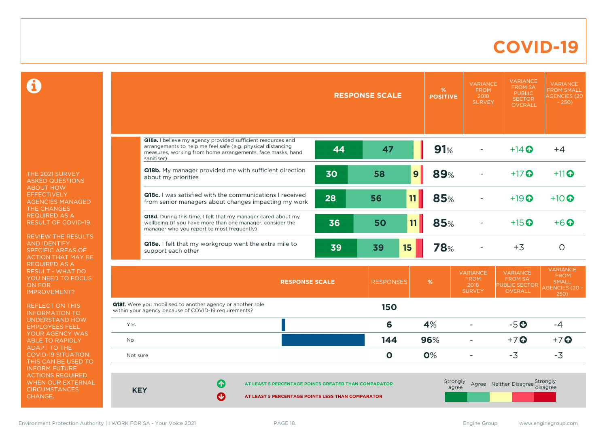### **COVID-19**

 $\mathbf \Omega$ 

THE 2021 SURVEY ASKED QUESTIONS ABOUT HOW **EFFECTIVELY** AGENCIES MANAGED THE CHANGES REQUIRED AS A RESULT OF COVID-19.

REVIEW THE RESULTS AND IDENTIFY SPECIFIC AREAS OF ACTION THAT MAY BE REQUIRED AS A RESULT - WHAT DO YOU NEED TO FOCUS ON FOR IMPROVEMENT?

REFLECT ON THIS INFORMATION TO UNDERSTAND HOW EMPLOYEES FEEL YOUR AGENCY WAS ABLE TO RAPIDLY ADAPT TO THE COVID-19 SITUATION. THIS CAN BE USED TO INFORM FUTURE ACTIONS REQUIRED WHEN OUR EXTERNAL **CIRCUMSTANCES** CHANGE.

|            |                                                                                                                                                                                                        |    | <b>RESPONSE SCALE</b> | %<br><b>POSITIVE</b> | <b>VARIANCE</b><br><b>FROM</b><br>2018<br><b>SURVEY</b> | <b>VARIANCE</b><br><b>FROM SA</b><br><b>PUBLIC</b><br><b>SECTOR</b><br><b>OVERALL</b> | <b>VARIANCE</b><br><b>FROM SMALL</b><br><b>AGENCIES (20)</b><br>$-250$          |
|------------|--------------------------------------------------------------------------------------------------------------------------------------------------------------------------------------------------------|----|-----------------------|----------------------|---------------------------------------------------------|---------------------------------------------------------------------------------------|---------------------------------------------------------------------------------|
|            |                                                                                                                                                                                                        |    |                       |                      |                                                         |                                                                                       |                                                                                 |
|            | Q18a. I believe my agency provided sufficient resources and<br>arrangements to help me feel safe (e.g. physical distancing<br>measures, working from home arrangements, face masks, hand<br>sanitiser) | 44 | 47                    | 91%                  |                                                         | $+14$ $\odot$                                                                         | $+4$                                                                            |
|            | Q18b. My manager provided me with sufficient direction<br>about my priorities                                                                                                                          | 30 | 58                    | <b>89%</b><br> 9     |                                                         | $+17$ $\odot$                                                                         | $+11$ <sup>O</sup>                                                              |
|            | Q18c. I was satisfied with the communications I received<br>from senior managers about changes impacting my work                                                                                       | 28 | 56                    | 85%<br>11            |                                                         | $+19$ $\odot$                                                                         | $+10$ <sup><math>\odot</math></sup>                                             |
|            | Q18d. During this time, I felt that my manager cared about my<br>wellbeing (if you have more than one manager, consider the<br>manager who you report to most frequently)                              | 36 | 50                    | 11<br>85%            |                                                         | $+15$ <sup>O</sup>                                                                    | $+6$ $\odot$                                                                    |
|            | Q18e. I felt that my workgroup went the extra mile to<br>support each other                                                                                                                            | 39 | 39                    | <b>78%</b><br>15     |                                                         | $+3$                                                                                  | $\circ$                                                                         |
|            | <b>RESPONSE SCALE</b>                                                                                                                                                                                  |    | <b>RESPONSES</b>      | $\%$                 | <b>VARIANCE</b><br><b>FROM</b><br>2018<br><b>SURVEY</b> | <b>VARIANCE</b><br><b>FROM SA</b><br><b>PUBLIC SECTOR</b><br><b>OVERALL</b>           | <b>VARIANCE</b><br><b>FROM</b><br><b>SMALL</b><br><b>AGENCIES (20 -</b><br>250) |
|            | <b>Q18f.</b> Were you mobilised to another agency or another role<br>within your agency because of COVID-19 requirements?                                                                              |    | <b>150</b>            |                      |                                                         |                                                                                       |                                                                                 |
| Yes        |                                                                                                                                                                                                        |    | 6                     | 4%                   |                                                         | $-5o$                                                                                 | $-4$                                                                            |
| <b>No</b>  |                                                                                                                                                                                                        |    | 144                   | 96%                  | $\blacksquare$                                          | $+7$ <sup>O</sup>                                                                     | $+7$ $\odot$                                                                    |
| Not sure   |                                                                                                                                                                                                        |    | $\mathbf 0$           | 0%                   |                                                         | $-3$                                                                                  | $-3$                                                                            |
| <b>KEY</b> | Q<br>AT LEAST 5 PERCENTAGE POINTS GREATER THAN COMPARATOR<br>Ø<br>AT LEAST 5 PERCENTAGE POINTS LESS THAN COMPARATOR                                                                                    |    | Strongly<br>agree     |                      | Agree Neither Disagree Strongly                         | disagree                                                                              |                                                                                 |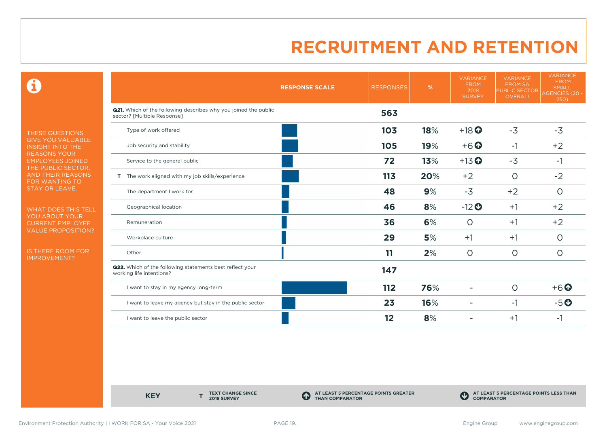$\mathbf \Theta$ 

THESE QUESTIONS GIVE YOU VALUABLE INSIGHT INTO THE REASONS YOUR EMPLOYEES JOINED THE PUBLIC SECTOR, AND THEIR REASONS FOR WANTING TO STAY OR LEAVE.

WHAT DOES THIS TELL YOU ABOUT YOUR CURRENT EMPLOYEE VALUE PROPOSITION?

IS THERE ROOM FOR IMPROVEMENT?

|                                                                                                       | <b>RESPONSE SCALE</b> | <b>RESPONSES</b> | %   | <b>VARIANCE</b><br><b>FROM</b><br>2018<br><b>SURVEY</b> | <b>VARIANCE</b><br><b>FROM SA</b><br><b>PUBLIC SECTOR</b><br>OVERALL | <b>VARIANCE</b><br><b>FROM</b><br><b>SMALL</b><br><b>AGENCIES (20 -</b><br>250) |
|-------------------------------------------------------------------------------------------------------|-----------------------|------------------|-----|---------------------------------------------------------|----------------------------------------------------------------------|---------------------------------------------------------------------------------|
| <b>Q21.</b> Which of the following describes why you joined the public<br>sector? [Multiple Response] |                       | 563              |     |                                                         |                                                                      |                                                                                 |
| Type of work offered                                                                                  |                       | 103              | 18% | $+18$ <sup>O</sup>                                      | $-3$                                                                 | $-3$                                                                            |
| Job security and stability                                                                            |                       | 105              | 19% | $+6$ <sup>O</sup>                                       | $-1$                                                                 | $+2$                                                                            |
| Service to the general public                                                                         |                       | 72               | 13% | $+13$ <sup>O</sup>                                      | $-3$                                                                 | $-1$                                                                            |
| T The work aligned with my job skills/experience                                                      |                       | 113              | 20% | $+2$                                                    | $\circ$                                                              | $-2$                                                                            |
| The department I work for                                                                             |                       | 48               | 9%  | $-3$                                                    | $+2$                                                                 | $\circ$                                                                         |
| Geographical location                                                                                 |                       | 46               | 8%  | $-12$ <sup>O</sup>                                      | $+1$                                                                 | $+2$                                                                            |
| Remuneration                                                                                          |                       | 36               | 6%  | $\circ$                                                 | $+1$                                                                 | $+2$                                                                            |
| Workplace culture                                                                                     |                       | 29               | 5%  | $+1$                                                    | $+1$                                                                 | $\circ$                                                                         |
| Other                                                                                                 |                       | 11               | 2%  | $\circ$                                                 | $\circ$                                                              | $\circ$                                                                         |
| <b>Q22.</b> Which of the following statements best reflect your<br>working life intentions?           |                       | 147              |     |                                                         |                                                                      |                                                                                 |
| I want to stay in my agency long-term                                                                 |                       | 112              | 76% |                                                         | $\circ$                                                              | $+6$ <sup>O</sup>                                                               |
| I want to leave my agency but stay in the public sector                                               |                       | 23               | 16% | ٠                                                       | $-1$                                                                 | $-5o$                                                                           |
| I want to leave the public sector                                                                     |                       | 12               | 8%  |                                                         | $+1$                                                                 | -1                                                                              |

**KEY** 

**TEXT CHANGE SINCE 2018 SURVEY**

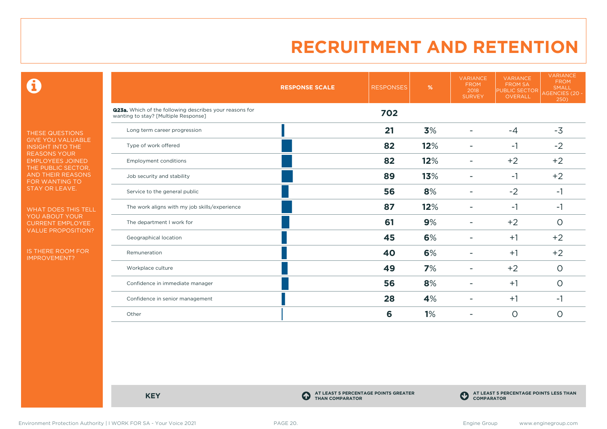$\mathbf \Theta$ 

THESE QUESTIONS GIVE YOU VALUABLE INSIGHT INTO THE REASONS YOUR EMPLOYEES JOINED THE PUBLIC SECTOR, AND THEIR REASONS FOR WANTING TO STAY OR LEAVE.

WHAT DOES THIS TELL YOU ABOUT YOUR CURRENT EMPLOYEE VALUE PROPOSITION?

IS THERE ROOM FOR IMPROVEMENT?

|                                                                                                 | <b>RESPONSE SCALE</b> | <b>RESPONSES</b> | $\%$ | <b>VARIANCE</b><br><b>FROM</b><br>2018<br><b>SURVEY</b> | <b>VARIANCE</b><br><b>FROM SA</b><br><b>PUBLIC SECTOR</b><br>OVERALL | <b>VARIANCE</b><br><b>FROM</b><br><b>SMALL</b><br><b>AGENCIES (20 -</b><br>250) |
|-------------------------------------------------------------------------------------------------|-----------------------|------------------|------|---------------------------------------------------------|----------------------------------------------------------------------|---------------------------------------------------------------------------------|
| Q23a. Which of the following describes your reasons for<br>wanting to stay? [Multiple Response] |                       | 702              |      |                                                         |                                                                      |                                                                                 |
| Long term career progression                                                                    |                       | 21               | 3%   |                                                         | $-4$                                                                 | $-3$                                                                            |
| Type of work offered                                                                            |                       | 82               | 12%  |                                                         | $-1$                                                                 | $-2$                                                                            |
| <b>Employment conditions</b>                                                                    |                       | 82               | 12%  | $\overline{\phantom{a}}$                                | $+2$                                                                 | $+2$                                                                            |
| Job security and stability                                                                      |                       | 89               | 13%  |                                                         | $-1$                                                                 | $+2$                                                                            |
| Service to the general public                                                                   |                       | 56               | 8%   |                                                         | $-2$                                                                 | $-1$                                                                            |
| The work aligns with my job skills/experience                                                   |                       | 87               | 12%  | ۰                                                       | $-1$                                                                 | $-1$                                                                            |
| The department I work for                                                                       |                       | 61               | 9%   |                                                         | $+2$                                                                 | $\circ$                                                                         |
| Geographical location                                                                           |                       | 45               | 6%   |                                                         | $+1$                                                                 | $+2$                                                                            |
| Remuneration                                                                                    |                       | 40               | 6%   |                                                         | $+1$                                                                 | $+2$                                                                            |
| Workplace culture                                                                               |                       | 49               | 7%   | $\overline{\phantom{a}}$                                | $+2$                                                                 | $\circ$                                                                         |
| Confidence in immediate manager                                                                 |                       | 56               | 8%   |                                                         | $+1$                                                                 | $\circ$                                                                         |
| Confidence in senior management                                                                 |                       | 28               | 4%   |                                                         | $+1$                                                                 | $-1$                                                                            |
| Other                                                                                           |                       | 6                | 1%   |                                                         | $\circ$                                                              | $\circ$                                                                         |

**KEY C** 

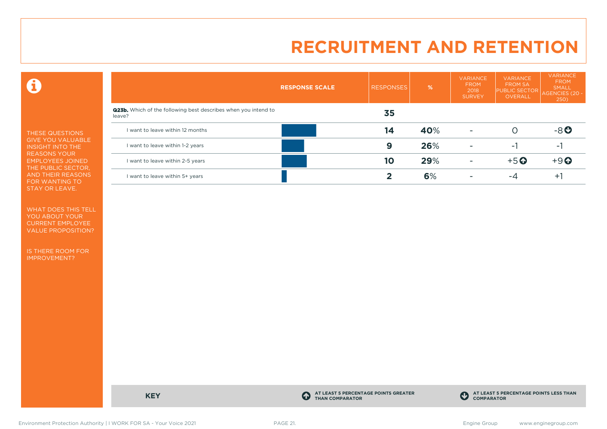$\mathbf \Theta$ 

THESE QUESTIONS GIVE YOU VALUABLE INSIGHT INTO THE REASONS YOUR EMPLOYEES JOINED THE PUBLIC SECTOR, AND THEIR REASONS FOR WANTING TO STAY OR LEAVE.

WHAT DOES THIS TELL YOU ABOUT YOUR CURRENT EMPLOYEE VALUE PROPOSITION?

IS THERE ROOM FOR IMPROVEMENT?

|                                                                                 | <b>RESPONSE SCALE</b> | <b>RESPONSES</b> | %   | <b>VARIANCE</b><br><b>FROM</b><br>2018<br><b>SURVEY</b> | <b>VARIANCE</b><br><b>FROM SA</b><br><b>PUBLIC SECTOR</b><br>OVERALL | VARIANCE<br><b>FROM</b><br><b>SMALL</b><br>AGENCIES (20 -<br>250) |
|---------------------------------------------------------------------------------|-----------------------|------------------|-----|---------------------------------------------------------|----------------------------------------------------------------------|-------------------------------------------------------------------|
| <b>Q23b.</b> Which of the following best describes when you intend to<br>leave? |                       | 35               |     |                                                         |                                                                      |                                                                   |
| I want to leave within 12 months                                                |                       | 14               | 40% | $\overline{\phantom{a}}$                                | O                                                                    | $-8o$                                                             |
| I want to leave within 1-2 years                                                |                       | 9                | 26% | $\overline{a}$                                          | $-1$                                                                 | ÷.                                                                |
| I want to leave within 2-5 years                                                |                       | 10               | 29% | <b>11</b>                                               | $+5$ <sup>O</sup>                                                    | $+9$ <sup><math>\odot</math></sup>                                |
| I want to leave within 5+ years                                                 |                       |                  | 6%  |                                                         | -4                                                                   | ÷.                                                                |



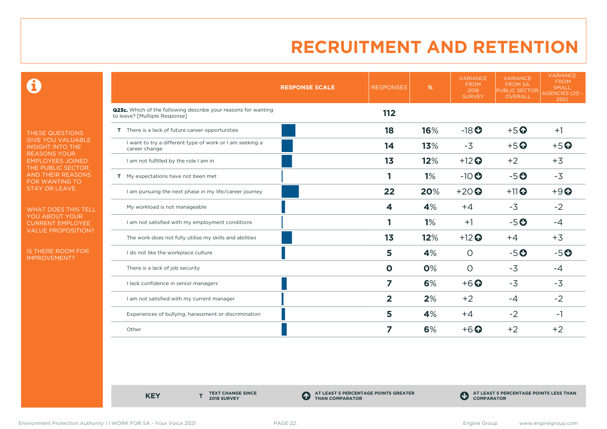$\mathbf \Theta$ 

THESE QUESTIONS GIVE YOU VALUABLE INSIGHT INTO THE REASONS YOUR EMPLOYEES JOINED THE PUBLIC SECTOR, AND THEIR REASONS FOR WANTING TO STAY OR LEAVE.

WHAT DOES THIS TELL YOU ABOUT YOUR CURRENT EMPLOYEE VALUE PROPOSITION?

IS THERE ROOM FOR IMPROVEMENT?

|                                                                                                 | <b>RESPONSE SCALE</b> | <b>RESPONSES</b>        | %   | <b>VARIANCE</b><br><b>FROM</b><br>2018<br><b>SURVEY</b> | <b>VARIANCE</b><br><b>FROM SA</b><br><b>PUBLIC SECTOR</b><br>OVERALL | <b>VARIANCE</b><br><b>FROM</b><br><b>SMALL</b><br>AGENCIES (20 -<br>250) |
|-------------------------------------------------------------------------------------------------|-----------------------|-------------------------|-----|---------------------------------------------------------|----------------------------------------------------------------------|--------------------------------------------------------------------------|
| Q23c. Which of the following describe your reasons for wanting<br>to leave? [Multiple Response] |                       | 112                     |     |                                                         |                                                                      |                                                                          |
| T There is a lack of future career opportunities                                                |                       | 18                      | 16% | $-18$ <b>O</b>                                          | $+5$ <sup>O</sup>                                                    | $+1$                                                                     |
| I want to try a different type of work or I am seeking a<br>career change                       |                       | 14                      | 13% | $-3$                                                    | $+5$ <sup>O</sup>                                                    | $+5$ <sup>O</sup>                                                        |
| I am not fulfilled by the role I am in                                                          |                       | 1 <sub>3</sub>          | 12% | $+12$ <sup>O</sup>                                      | $+2$                                                                 | $+3$                                                                     |
| T My expectations have not been met                                                             |                       |                         | 1%  | $-10$                                                   | $-5o$                                                                | $-3$                                                                     |
| I am pursuing the next phase in my life/career journey                                          |                       | 22                      | 20% | $+20$                                                   | $+11$ <sup>O</sup>                                                   | $+9$ <sup>O</sup>                                                        |
| My workload is not manageable                                                                   |                       | 4                       | 4%  | $+4$                                                    | $-3$                                                                 | $-2$                                                                     |
| I am not satisfied with my employment conditions                                                |                       |                         | 1%  | $+1$                                                    | $-5o$                                                                | $-4$                                                                     |
| The work does not fully utilise my skills and abilities                                         |                       | 1 <sub>3</sub>          | 12% | $+12$ <sup>O</sup>                                      | $+4$                                                                 | $+3$                                                                     |
| I do not like the workplace culture                                                             |                       | 5                       | 4%  | $\circ$                                                 | $-5o$                                                                | $-5o$                                                                    |
| There is a lack of job security                                                                 |                       | $\mathbf 0$             | 0%  | $\Omega$                                                | $-3$                                                                 | $-4$                                                                     |
| I lack confidence in senior managers                                                            |                       | 7                       | 6%  | $+6$ $\odot$                                            | $-3$                                                                 | $-3$                                                                     |
| I am not satisfied with my current manager                                                      |                       | $\overline{\mathbf{2}}$ | 2%  | $+2$                                                    | $-4$                                                                 | $-2$                                                                     |
| Experiences of bullying, harassment or discrimination                                           |                       | 5                       | 4%  | $+4$                                                    | $-2$                                                                 | -1                                                                       |
| Other                                                                                           |                       | 7                       | 6%  | $+6$ <sup>O</sup>                                       | $+2$                                                                 | $+2$                                                                     |

**KEY** 

**TEXT CHANGE SINCE 2018 SURVEY**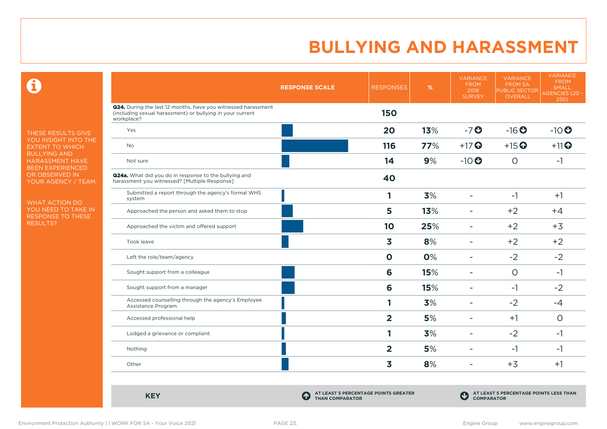$\mathbf \Omega$ 

THESE RESULTS GIVE YOU INSIGHT INTO THE EXTENT TO WHICH BULLYING AND HARASSMENT HAVE BEEN EXPERIENCED OR OBSERVED IN YOUR AGENCY / TEAM.

WHAT ACTION DO YOU NEED TO TAKE IN RESPONSE TO THESE RESULTS?

|                                                                                                                                          | <b>RESPONSE SCALE</b>                                               | <b>RESPONSES</b>        | %   | <b>VARIANCE</b><br><b>FROM</b><br>2018<br><b>SURVEY</b> | <b>VARIANCE</b><br><b>FROM SA</b><br><b>PUBLIC SECTOR</b><br>OVERALL | <b>VARIANCE</b><br><b>FROM</b><br><b>SMALL</b><br><b>AGENCIES (20 -</b><br>250) |
|------------------------------------------------------------------------------------------------------------------------------------------|---------------------------------------------------------------------|-------------------------|-----|---------------------------------------------------------|----------------------------------------------------------------------|---------------------------------------------------------------------------------|
| Q24. During the last 12 months, have you witnessed harassment<br>(including sexual harassment) or bullying in your current<br>workplace? |                                                                     | <b>150</b>              |     |                                                         |                                                                      |                                                                                 |
| Yes                                                                                                                                      |                                                                     | 20                      | 13% | $-7o$                                                   | $-16o$                                                               | $-10$ <sup>O</sup>                                                              |
| <b>No</b>                                                                                                                                |                                                                     | 116                     | 77% | $+17$ $\odot$                                           | $+15$ <sup>O</sup>                                                   | $+11$ <sup>O</sup>                                                              |
| Not sure                                                                                                                                 |                                                                     | 14                      | 9%  | $-10$                                                   | $\circ$                                                              | $-1$                                                                            |
| Q24a. What did you do in response to the bullying and<br>harassment you witnessed? [Multiple Response]                                   |                                                                     | 40                      |     |                                                         |                                                                      |                                                                                 |
| Submitted a report through the agency's formal WHS<br>system                                                                             |                                                                     | 1                       | 3%  | $\overline{\phantom{a}}$                                | $-1$                                                                 | $+1$                                                                            |
| Approached the person and asked them to stop                                                                                             |                                                                     | 5                       | 13% |                                                         | $+2$                                                                 | $+4$                                                                            |
| Approached the victim and offered support                                                                                                |                                                                     | 10                      | 25% | $\overline{\phantom{a}}$                                | $+2$                                                                 | $+3$                                                                            |
| Took leave                                                                                                                               |                                                                     | 3                       | 8%  | $\blacksquare$                                          | $+2$                                                                 | $+2$                                                                            |
| Left the role/team/agency                                                                                                                |                                                                     | $\mathbf 0$             | 0%  | $\overline{\phantom{a}}$                                | $-2$                                                                 | $-2$                                                                            |
| Sought support from a colleague                                                                                                          |                                                                     | 6                       | 15% | $\equiv$                                                | $\circ$                                                              | $-1$                                                                            |
| Sought support from a manager                                                                                                            |                                                                     | 6                       | 15% | $\blacksquare$                                          | $-1$                                                                 | $-2$                                                                            |
| Accessed counselling through the agency's Employee<br>Assistance Program                                                                 |                                                                     | 1                       | 3%  |                                                         | $-2$                                                                 | $-4$                                                                            |
| Accessed professional help                                                                                                               |                                                                     | $\overline{\mathbf{2}}$ | 5%  |                                                         | $+1$                                                                 | $\circ$                                                                         |
| Lodged a grievance or complaint                                                                                                          |                                                                     | 1                       | 3%  |                                                         | $-2$                                                                 | $-1$                                                                            |
| Nothing                                                                                                                                  |                                                                     | $\overline{2}$          | 5%  |                                                         | $-1$                                                                 | $-1$                                                                            |
| Other                                                                                                                                    |                                                                     | 3                       | 8%  | $\overline{\phantom{a}}$                                | $+3$                                                                 | $+1$                                                                            |
| <b>KEY</b>                                                                                                                               | AT LEAST 5 PERCENTAGE POINTS GREATER<br>4<br><b>THAN COMPARATOR</b> |                         |     | $\mathbf C$<br><b>COMPARATOR</b>                        | AT LEAST 5 PERCENTAGE POINTS LESS THAN                               |                                                                                 |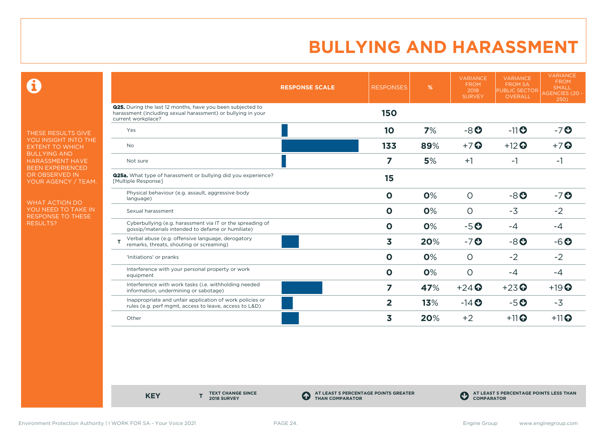$\mathbf \Theta$ 

THESE RESULTS GIVE YOU INSIGHT INTO THE EXTENT TO WHICH BULLYING AND HARASSMENT HAVE BEEN EXPERIENCED OR OBSERVED IN YOUR AGENCY / TEAM.

WHAT ACTION DO YOU NEED TO TAKE IN RESPONSE TO THESE RESULTS?

|                                                                                                                                                         | <b>RESPONSE SCALE</b> | <b>RESPONSES</b>        | %   | <b>VARIANCE</b><br><b>FROM</b><br>2018<br><b>SURVEY</b> | <b>VARIANCE</b><br><b>FROM SA</b><br><b>PUBLIC SECTOR</b><br>OVERALL | <b>VARIANCE</b><br><b>FROM</b><br><b>SMALL</b><br><b>AGENCIES (20 -</b><br>250) |
|---------------------------------------------------------------------------------------------------------------------------------------------------------|-----------------------|-------------------------|-----|---------------------------------------------------------|----------------------------------------------------------------------|---------------------------------------------------------------------------------|
| <b>Q25.</b> During the last 12 months, have you been subjected to<br>harassment (including sexual harassment) or bullying in your<br>current workplace? |                       | <b>150</b>              |     |                                                         |                                                                      |                                                                                 |
| Yes                                                                                                                                                     |                       | 10                      | 7%  | $-8o$                                                   | $-11$ <sup>O</sup>                                                   | $-7$ $O$                                                                        |
| <b>No</b>                                                                                                                                               |                       | 133                     | 89% | $+7$ $\odot$                                            | $+12$ <sup>O</sup>                                                   | $+7$ $\odot$                                                                    |
| Not sure                                                                                                                                                |                       | 7                       | 5%  | $+1$                                                    | $-1$                                                                 | $-1$                                                                            |
| <b>Q25a.</b> What type of harassment or bullying did you experience?<br>[Multiple Response]                                                             |                       | 15                      |     |                                                         |                                                                      |                                                                                 |
| Physical behaviour (e.g. assault, aggressive body<br>language)                                                                                          |                       | $\mathbf 0$             | 0%  | $\circ$                                                 | $-8o$                                                                | $-7$ $O$                                                                        |
| Sexual harassment                                                                                                                                       |                       | $\mathbf 0$             | 0%  | $\Omega$                                                | $-3$                                                                 | $-2$                                                                            |
| Cyberbullying (e.g. harassment via IT or the spreading of<br>gossip/materials intended to defame or humiliate)                                          |                       | $\mathbf 0$             | 0%  | $-5o$                                                   | $-4$                                                                 | $-4$                                                                            |
| Verbal abuse (e.g. offensive language, derogatory<br>remarks, threats, shouting or screaming)                                                           |                       | 3                       | 20% | $-7o$                                                   | $-8o$                                                                | $-6o$                                                                           |
| 'Initiations' or pranks                                                                                                                                 |                       | $\mathbf{O}$            | 0%  | $\circ$                                                 | $-2$                                                                 | $-2$                                                                            |
| Interference with your personal property or work<br>equipment                                                                                           |                       | $\mathbf 0$             | 0%  | $\circ$                                                 | $-4$                                                                 | $-4$                                                                            |
| Interference with work tasks (i.e. withholding needed<br>information, undermining or sabotage)                                                          |                       | $\overline{\mathbf{z}}$ | 47% | $+24$ <sup><math>\odot</math></sup>                     | $+23$ <sup>O</sup>                                                   | $+19$ <sup>O</sup>                                                              |
| Inappropriate and unfair application of work policies or<br>rules (e.g. perf mgmt, access to leave, access to L&D)                                      |                       | $\overline{2}$          | 13% | $-14$ $\odot$                                           | $-5o$                                                                | $-3$                                                                            |
| Other                                                                                                                                                   |                       | 3                       | 20% | $+2$                                                    | $+11$ <sup>O</sup>                                                   | $+11$ <sup>O</sup>                                                              |

**KEY** 

**TEXT CHANGE SINCE 2018 SURVEY**

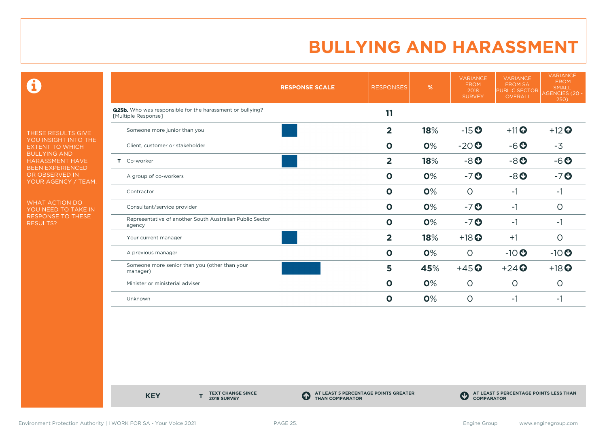$\mathbf \Theta$ 

THESE RESULTS GIVE YOU INSIGHT INTO THE EXTENT TO WHICH BULLYING AND HARASSMENT HAVE BEEN EXPERIENCED OR OBSERVED IN YOUR AGENCY / TEAM.

WHAT ACTION DO YOU NEED TO TAKE IN RESPONSE TO THESE RESULTS?

|                                                                                         | <b>RESPONSES</b><br><b>RESPONSE SCALE</b> | %   | <b>VARIANCE</b><br><b>FROM</b><br>2018<br><b>SURVEY</b> | <b>VARIANCE</b><br><b>FROM SA</b><br><b>PUBLIC SECTOR</b><br>OVERALL | <b>VARIANCE</b><br><b>FROM</b><br><b>SMALL</b><br><b>AGENCIES (20 -</b><br>250) |
|-----------------------------------------------------------------------------------------|-------------------------------------------|-----|---------------------------------------------------------|----------------------------------------------------------------------|---------------------------------------------------------------------------------|
| <b>Q25b.</b> Who was responsible for the harassment or bullying?<br>[Multiple Response] | 11                                        |     |                                                         |                                                                      |                                                                                 |
| Someone more junior than you                                                            | $\overline{2}$                            | 18% | $-15$ <sup>O</sup>                                      | $+11$ <sup>O</sup>                                                   | $+12$                                                                           |
| Client, customer or stakeholder                                                         | $\mathbf 0$                               | 0%  | $-20o$                                                  | $-6o$                                                                | $-3$                                                                            |
| Co-worker<br>Τ.                                                                         | $\overline{2}$                            | 18% | $-8o$                                                   | $-8o$                                                                | $-6o$                                                                           |
| A group of co-workers                                                                   | $\mathbf 0$                               | 0%  | $-7o$                                                   | $-8o$                                                                | $-7o$                                                                           |
| Contractor                                                                              | $\mathbf{o}$                              | 0%  | $\circ$                                                 | $-1$                                                                 | $-1$                                                                            |
| Consultant/service provider                                                             | $\mathbf 0$                               | 0%  | $-7O$                                                   | $-1$                                                                 | 0                                                                               |
| Representative of another South Australian Public Sector<br>agency                      | $\mathbf 0$                               | 0%  | $-7o$                                                   | $-1$                                                                 | $-1$                                                                            |
| Your current manager                                                                    | $\overline{\mathbf{2}}$                   | 18% | $+18$ <sup>O</sup>                                      | $+1$                                                                 | $\circ$                                                                         |
| A previous manager                                                                      | $\mathbf 0$                               | 0%  | $\circ$                                                 | $-10$                                                                | $-10$                                                                           |
| Someone more senior than you (other than your<br>manager)                               | 5                                         | 45% | $+45$ <sup>O</sup>                                      | $+24$ $\odot$                                                        | $+18$ <sup>O</sup>                                                              |
| Minister or ministerial adviser                                                         | $\mathbf 0$                               | 0%  | $\circ$                                                 | $\circ$                                                              | O                                                                               |
| Unknown                                                                                 | $\mathbf 0$                               | 0%  | $\circ$                                                 | $-1$                                                                 | -1                                                                              |

**KEY** 

**TEXT CHANGE SINCE 2018 SURVEY**

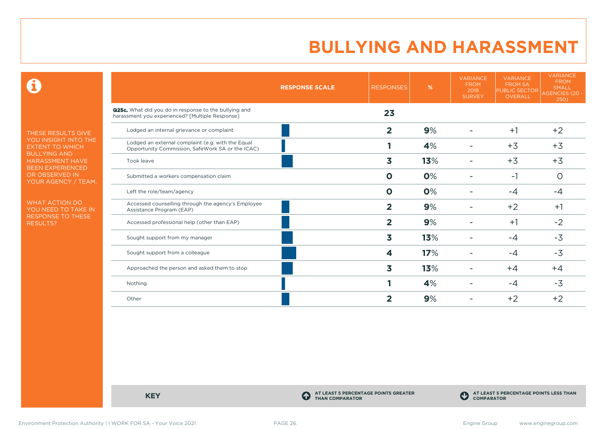$\mathbf \Theta$ 

THESE RESULTS GIVE YOU INSIGHT INTO THE EXTENT TO WHICH BULLYING AND HARASSMENT HAVE BEEN EXPERIENCED OR OBSERVED IN YOUR AGENCY / TEAM.

WHAT ACTION DO YOU NEED TO TAKE IN RESPONSE TO THESE RESULTS?

|                                                                                                          | <b>RESPONSE SCALE</b> | <b>RESPONSES</b> | %   | <b>VARIANCE</b><br><b>FROM</b><br>2018<br><b>SURVEY</b> | <b>VARIANCE</b><br><b>FROM SA</b><br><b>PUBLIC SECTOR</b><br><b>OVERALL</b> | <b>VARIANCE</b><br><b>FROM</b><br><b>SMALL</b><br>AGENCIES (20 -<br>250) |
|----------------------------------------------------------------------------------------------------------|-----------------------|------------------|-----|---------------------------------------------------------|-----------------------------------------------------------------------------|--------------------------------------------------------------------------|
| Q25c. What did you do in response to the bullying and<br>harassment you experienced? [Multiple Response] |                       | 23               |     |                                                         |                                                                             |                                                                          |
| Lodged an internal grievance or complaint                                                                |                       | $\overline{2}$   | 9%  |                                                         | $+1$                                                                        | $+2$                                                                     |
| Lodged an external complaint (e.g. with the Equal<br>Opportunity Commission, SafeWork SA or the ICAC)    |                       |                  | 4%  |                                                         | $+3$                                                                        | $+3$                                                                     |
| Took leave                                                                                               |                       | 3                | 13% |                                                         | $+3$                                                                        | $+3$                                                                     |
| Submitted a workers compensation claim                                                                   |                       | $\mathbf{o}$     | 0%  |                                                         | -1                                                                          | $\circ$                                                                  |
| Left the role/team/agency                                                                                |                       | $\mathbf 0$      | 0%  |                                                         | $-4$                                                                        | $-4$                                                                     |
| Accessed counselling through the agency's Employee<br>Assistance Program (EAP)                           |                       | $\overline{2}$   | 9%  |                                                         | $+2$                                                                        | $+1$                                                                     |
| Accessed professional help (other than EAP)                                                              |                       | $\overline{2}$   | 9%  |                                                         | $+1$                                                                        | $-2$                                                                     |
| Sought support from my manager                                                                           |                       | 3                | 13% |                                                         | $-4$                                                                        | $-3$                                                                     |
| Sought support from a colleague                                                                          |                       | 4                | 17% |                                                         | $-4$                                                                        | $-3$                                                                     |
| Approached the person and asked them to stop                                                             |                       | 3                | 13% |                                                         | $+4$                                                                        | $+4$                                                                     |
| Nothing                                                                                                  |                       |                  | 4%  |                                                         | -4                                                                          | $-3$                                                                     |
| Other                                                                                                    |                       | $\mathbf{2}$     | 9%  |                                                         | $+2$                                                                        | $+2$                                                                     |

**KEY C** 

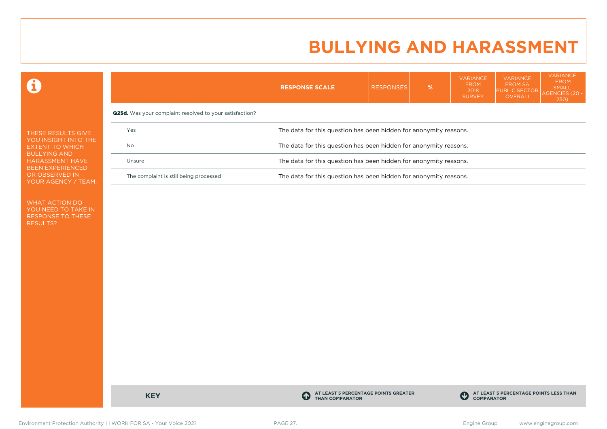$VAPIAPI$ 

VARIANCE

**VARIANCE** 

 $\mathbf \Omega$ 

|                                                                                                                               |                                                                | <b>RESPONSE SCALE</b>                                             | <b>RESPONSES</b> | $\frac{9}{6}$ | , , , , , , , , , , ,<br><b>FROM</b><br>2018<br><b>SURVEY</b> | <b>FROM SA</b><br><b>PUBLIC SECTOR</b><br>OVERALL | <b>FROM</b><br><b>SMALL</b><br>AGENCIES (20<br><b>250</b> |  |  |
|-------------------------------------------------------------------------------------------------------------------------------|----------------------------------------------------------------|-------------------------------------------------------------------|------------------|---------------|---------------------------------------------------------------|---------------------------------------------------|-----------------------------------------------------------|--|--|
|                                                                                                                               | <b>Q25d.</b> Was your complaint resolved to your satisfaction? |                                                                   |                  |               |                                                               |                                                   |                                                           |  |  |
| THESE RESULTS GIVE                                                                                                            | Yes                                                            | The data for this question has been hidden for anonymity reasons. |                  |               |                                                               |                                                   |                                                           |  |  |
| YOU INSIGHT INTO THE<br>No<br>EXTENT TO WHICH<br><b>BULLYING AND</b><br><b>HARASSMENT HAVE</b><br>Unsure<br>BEEN EXPERIENCED. |                                                                | The data for this question has been hidden for anonymity reasons. |                  |               |                                                               |                                                   |                                                           |  |  |
|                                                                                                                               |                                                                | The data for this question has been hidden for anonymity reasons. |                  |               |                                                               |                                                   |                                                           |  |  |
| OR OBSERVED IN<br>YOUR AGENCY / TEAM.                                                                                         | The complaint is still being processed                         | The data for this question has been hidden for anonymity reasons. |                  |               |                                                               |                                                   |                                                           |  |  |
|                                                                                                                               |                                                                |                                                                   |                  |               |                                                               |                                                   |                                                           |  |  |

WHAT ACTION DO YOU NEED TO TAKE IN RESPONSE TO THESE RESULTS?

**KEY C** 

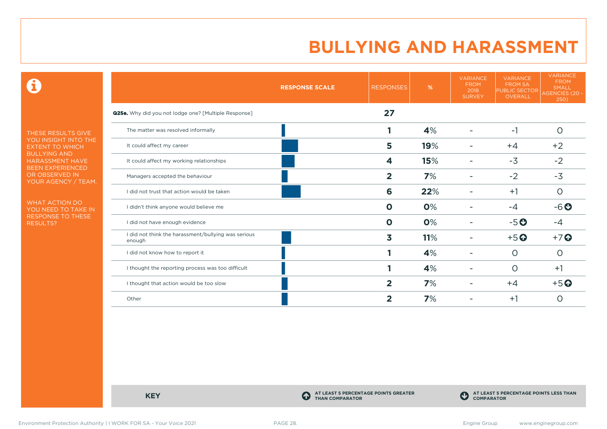$\mathbf \Theta$ 

THESE RESULTS GIVE YOU INSIGHT INTO THE EXTENT TO WHICH BULLYING AND HARASSMENT HAVE BEEN EXPERIENCED OR OBSERVED IN YOUR AGENCY / TEAM.

WHAT ACTION DO YOU NEED TO TAKE IN RESPONSE TO THESE RESULTS?

|                                                               | <b>RESPONSE SCALE</b> | <b>RESPONSES</b>        | %   | <b>VARIANCE</b><br><b>FROM</b><br>2018<br><b>SURVEY</b> | <b>VARIANCE</b><br><b>FROM SA</b><br><b>PUBLIC SECTOR</b><br><b>OVERALL</b> | <b>VARIANCE</b><br><b>FROM</b><br><b>SMALL</b><br><b>AGENCIES (20 -</b><br>250) |
|---------------------------------------------------------------|-----------------------|-------------------------|-----|---------------------------------------------------------|-----------------------------------------------------------------------------|---------------------------------------------------------------------------------|
| <b>Q25e.</b> Why did you not lodge one? [Multiple Response]   |                       | 27                      |     |                                                         |                                                                             |                                                                                 |
| The matter was resolved informally                            |                       | 1                       | 4%  |                                                         | $-1$                                                                        | $\circ$                                                                         |
| It could affect my career                                     |                       | 5                       | 19% |                                                         | $+4$                                                                        | $+2$                                                                            |
| It could affect my working relationships                      |                       | 4                       | 15% |                                                         | $-3$                                                                        | $-2$                                                                            |
| Managers accepted the behaviour                               |                       | $\overline{2}$          | 7%  |                                                         | $-2$                                                                        | $-3$                                                                            |
| I did not trust that action would be taken                    |                       | 6                       | 22% |                                                         | $+1$                                                                        | $\circ$                                                                         |
| I didn't think anyone would believe me                        |                       | Ο                       | 0%  |                                                         | -4                                                                          | $-6o$                                                                           |
| I did not have enough evidence                                |                       | $\mathbf 0$             | 0%  |                                                         | $-5o$                                                                       | -4                                                                              |
| I did not think the harassment/bullying was serious<br>enough |                       | $\overline{\mathbf{3}}$ | 11% |                                                         | $+5$ <sup>O</sup>                                                           | $+7$ $\odot$                                                                    |
| I did not know how to report it                               |                       |                         | 4%  |                                                         | $\circ$                                                                     | O                                                                               |
| I thought the reporting process was too difficult             |                       |                         | 4%  |                                                         | O                                                                           | $+1$                                                                            |
| I thought that action would be too slow                       |                       | $\overline{2}$          | 7%  |                                                         | $+4$                                                                        | $+5$ $\odot$                                                                    |
| Other                                                         |                       | 2                       | 7%  |                                                         | $+1$                                                                        | O                                                                               |

**KEY C** 

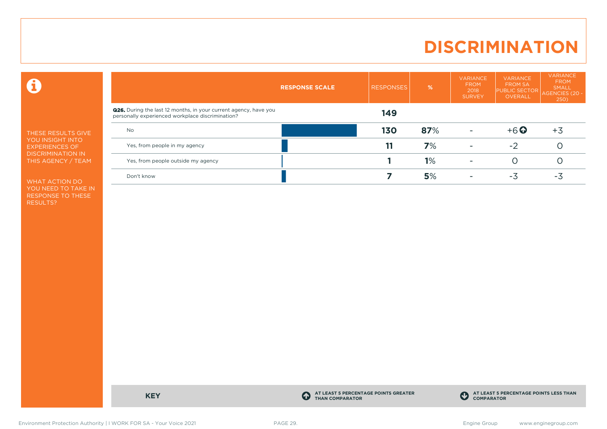# **DISCRIMINATION**

 $\mathbf \Theta$ 

THESE RESULTS GIVE YOU INSIGHT INTO EXPERIENCES OF DISCRIMINATION IN THIS AGENCY / TEAM

WHAT ACTION DO YOU NEED TO TAKE IN RESPONSE TO THESE RESULTS?

|                                                                                                                             | <b>RESPONSE SCALE</b> | <b>RESPONSES</b> | %   | <b>VARIANCE</b><br><b>FROM</b><br>2018<br><b>SURVEY</b> | <b>VARIANCE</b><br><b>FROM SA</b><br><b>PUBLIC SECTOR</b><br>OVERALL | <b>VARIANCE</b><br><b>FROM</b><br>SMALL<br>AGENCIES (20 -<br>250) |
|-----------------------------------------------------------------------------------------------------------------------------|-----------------------|------------------|-----|---------------------------------------------------------|----------------------------------------------------------------------|-------------------------------------------------------------------|
| <b>Q26.</b> During the last 12 months, in your current agency, have you<br>personally experienced workplace discrimination? |                       | 149              |     |                                                         |                                                                      |                                                                   |
| <b>No</b>                                                                                                                   |                       | <b>130</b>       | 87% |                                                         | $+6$ <sup>O</sup>                                                    | $+3$                                                              |
| Yes, from people in my agency                                                                                               |                       | 11               | 7%  |                                                         | $-2$                                                                 |                                                                   |
| Yes, from people outside my agency                                                                                          |                       |                  | 1%  |                                                         |                                                                      |                                                                   |
| Don't know                                                                                                                  |                       |                  | 5%  |                                                         | -3                                                                   | - 5                                                               |

**KEY C** 

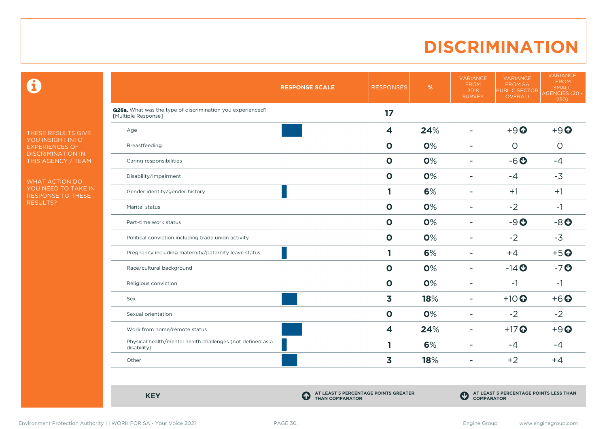# **DISCRIMINATION**

 $\mathbf \Theta$ 

THESE RESULTS GIVE YOU INSIGHT INTO EXPERIENCES OF DISCRIMINATION IN THIS AGENCY / TEAM

WHAT ACTION DO YOU NEED TO TAKE IN RESPONSE TO THESE RESULTS?

|                                                                                          | <b>RESPONSE SCALE</b> | <b>RESPONSES</b>        | %   | <b>VARIANCE</b><br><b>FROM</b><br>2018<br><b>SURVEY</b> | <b>VARIANCE</b><br><b>FROM SA</b><br><b>PUBLIC SECTOR</b><br>OVERALL | <b>VARIANCE</b><br><b>FROM</b><br><b>SMALL</b><br><b>AGENCIES (20 -</b><br>250) |
|------------------------------------------------------------------------------------------|-----------------------|-------------------------|-----|---------------------------------------------------------|----------------------------------------------------------------------|---------------------------------------------------------------------------------|
| <b>Q26a.</b> What was the type of discrimination you experienced?<br>[Multiple Response] |                       | 17                      |     |                                                         |                                                                      |                                                                                 |
| Age                                                                                      |                       | $\overline{\mathbf{4}}$ | 24% | ٠                                                       | $+9$ <sup><math>\odot</math></sup>                                   | $+9$ $\odot$                                                                    |
| Breastfeeding                                                                            |                       | $\mathbf{o}$            | 0%  | $\overline{\phantom{a}}$                                | $\circ$                                                              | $\circ$                                                                         |
| Caring responsibilities                                                                  |                       | $\mathbf 0$             | 0%  | $\blacksquare$                                          | $-6o$                                                                | $-4$                                                                            |
| Disability/impairment                                                                    |                       | $\mathbf 0$             | 0%  |                                                         | $-4$                                                                 | $-3$                                                                            |
| Gender identity/gender history                                                           |                       | 1                       | 6%  | ۰                                                       | $+1$                                                                 | $+1$                                                                            |
| Marital status                                                                           |                       | $\mathbf 0$             | 0%  | $\blacksquare$                                          | $-2$                                                                 | $-1$                                                                            |
| Part-time work status                                                                    |                       | $\mathbf 0$             | 0%  | $\blacksquare$                                          | $-9O$                                                                | $-8o$                                                                           |
| Political conviction including trade union activity                                      |                       | $\mathbf 0$             | 0%  | $\blacksquare$                                          | $-2$                                                                 | $-3$                                                                            |
| Pregnancy including maternity/paternity leave status                                     |                       | 1                       | 6%  | $\overline{\phantom{a}}$                                | $+4$                                                                 | $+5$ <sup>O</sup>                                                               |
| Race/cultural background                                                                 |                       | $\mathbf 0$             | 0%  | $\overline{\phantom{a}}$                                | $-14$ <b>O</b>                                                       | $-7o$                                                                           |
| Religious conviction                                                                     |                       | $\mathbf 0$             | 0%  | ÷                                                       | $-1$                                                                 | $-1$                                                                            |
| Sex                                                                                      |                       | 3                       | 18% | $\overline{\phantom{a}}$                                | $+10$ <sup>O</sup>                                                   | $+6$ $\odot$                                                                    |
| Sexual orientation                                                                       |                       | $\mathbf 0$             | 0%  | $\overline{\phantom{a}}$                                | $-2$                                                                 | $-2$                                                                            |
| Work from home/remote status                                                             |                       | $\overline{\mathbf{4}}$ | 24% | $\blacksquare$                                          | $+17$ <sup>O</sup>                                                   | $+9$ $\odot$                                                                    |
| Physical health/mental health challenges (not defined as a<br>disability)                |                       | 1                       | 6%  | $\overline{\phantom{a}}$                                | $-4$                                                                 | $-4$                                                                            |
| Other                                                                                    |                       | 3                       | 18% | $\overline{\phantom{a}}$                                | $+2$                                                                 | $+4$                                                                            |

**KEY C** 

**AT LEAST 5 PERCENTAGE POINTS GREATER THAN COMPARATOR**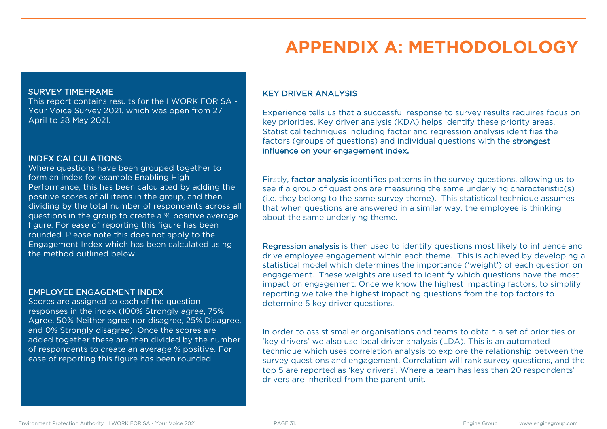# **APPENDIX A: METHODOLOLOGY**

#### SURVEY TIMEFRAME

This report contains results for the I WORK FOR SA - Your Voice Survey 2021, which was open from 27 April to 28 May 2021.

#### INDEX CALCULATIONS

Where questions have been grouped together to form an index for example Enabling High Performance, this has been calculated by adding the positive scores of all items in the group, and then dividing by the total number of respondents across all questions in the group to create a % positive average figure. For ease of reporting this figure has been rounded. Please note this does not apply to the Engagement Index which has been calculated using the method outlined below.

#### EMPLOYEE ENGAGEMENT INDEX

Scores are assigned to each of the question responses in the index (100% Strongly agree, 75% Agree, 50% Neither agree nor disagree, 25% Disagree, and 0% Strongly disagree). Once the scores are added together these are then divided by the number of respondents to create an average % positive. For ease of reporting this figure has been rounded.

#### KEY DRIVER ANALYSIS

Experience tells us that a successful response to survey results requires focus on key priorities. Key driver analysis (KDA) helps identify these priority areas. Statistical techniques including factor and regression analysis identifies the factors (groups of questions) and individual questions with the strongest influence on your engagement index.

Firstly, factor analysis identifies patterns in the survey questions, allowing us to see if a group of questions are measuring the same underlying characteristic(s) (i.e. they belong to the same survey theme). This statistical technique assumes that when questions are answered in a similar way, the employee is thinking about the same underlying theme.

Regression analysis is then used to identify questions most likely to influence and drive employee engagement within each theme. This is achieved by developing a statistical model which determines the importance ('weight') of each question on engagement. These weights are used to identify which questions have the most impact on engagement. Once we know the highest impacting factors, to simplify reporting we take the highest impacting questions from the top factors to determine 5 key driver questions.

In order to assist smaller organisations and teams to obtain a set of priorities or 'key drivers' we also use local driver analysis (LDA). This is an automated technique which uses correlation analysis to explore the relationship between the survey questions and engagement. Correlation will rank survey questions, and the top 5 are reported as 'key drivers'. Where a team has less than 20 respondents' drivers are inherited from the parent unit.